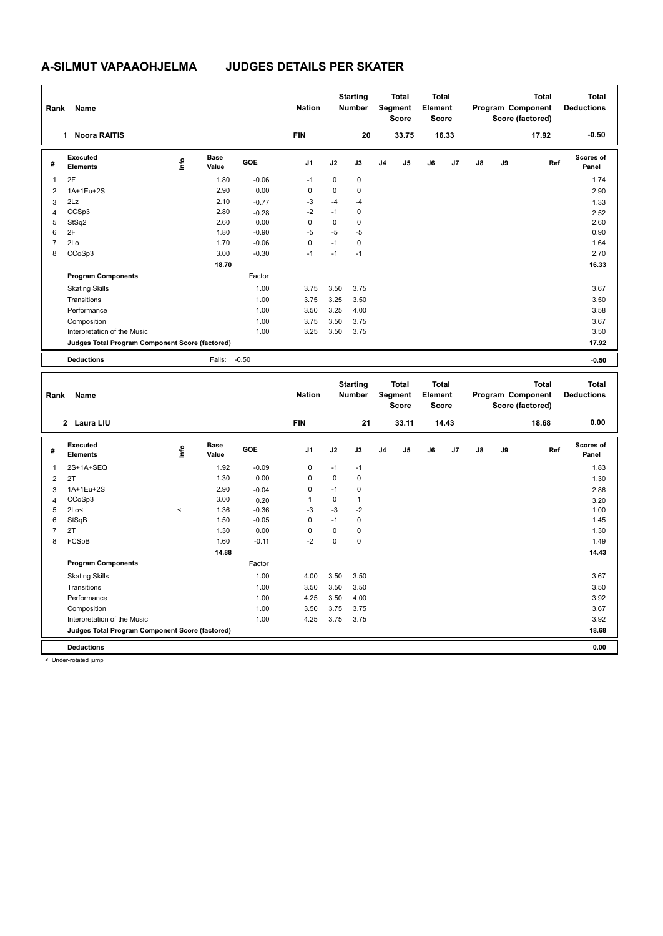| Rank           | Name                                            |      |                      |         | <b>Nation</b>  |      | <b>Starting</b><br><b>Number</b> |                | <b>Total</b><br>Segment<br><b>Score</b> | <b>Total</b><br>Element<br><b>Score</b> |       |    |    | <b>Total</b><br>Program Component<br>Score (factored) | <b>Total</b><br><b>Deductions</b> |
|----------------|-------------------------------------------------|------|----------------------|---------|----------------|------|----------------------------------|----------------|-----------------------------------------|-----------------------------------------|-------|----|----|-------------------------------------------------------|-----------------------------------|
|                | <b>Noora RAITIS</b><br>$\mathbf{1}$             |      |                      |         | <b>FIN</b>     |      | 20                               |                | 33.75                                   |                                         | 16.33 |    |    | 17.92                                                 | $-0.50$                           |
| #              | Executed<br><b>Elements</b>                     | Info | <b>Base</b><br>Value | GOE     | J <sub>1</sub> | J2   | J3                               | J <sub>4</sub> | J5                                      | J6                                      | J7    | J8 | J9 | Ref                                                   | Scores of<br>Panel                |
| 1              | 2F                                              |      | 1.80                 | $-0.06$ | $-1$           | 0    | $\pmb{0}$                        |                |                                         |                                         |       |    |    |                                                       | 1.74                              |
| $\overline{2}$ | 1A+1Eu+2S                                       |      | 2.90                 | 0.00    | 0              | 0    | $\mathbf 0$                      |                |                                         |                                         |       |    |    |                                                       | 2.90                              |
| 3              | 2Lz                                             |      | 2.10                 | $-0.77$ | $-3$           | $-4$ | $-4$                             |                |                                         |                                         |       |    |    |                                                       | 1.33                              |
| $\overline{4}$ | CCSp3                                           |      | 2.80                 | $-0.28$ | $-2$           | $-1$ | $\mathbf 0$                      |                |                                         |                                         |       |    |    |                                                       | 2.52                              |
| 5              | StSq2                                           |      | 2.60                 | 0.00    | 0              | 0    | $\mathbf 0$                      |                |                                         |                                         |       |    |    |                                                       | 2.60                              |
| 6              | 2F                                              |      | 1.80                 | $-0.90$ | $-5$           | $-5$ | $-5$                             |                |                                         |                                         |       |    |    |                                                       | 0.90                              |
| $\overline{7}$ | 2Lo                                             |      | 1.70                 | $-0.06$ | 0              | $-1$ | $\mathbf 0$                      |                |                                         |                                         |       |    |    |                                                       | 1.64                              |
| 8              | CCoSp3                                          |      | 3.00                 | $-0.30$ | $-1$           | $-1$ | $-1$                             |                |                                         |                                         |       |    |    |                                                       | 2.70                              |
|                |                                                 |      | 18.70                |         |                |      |                                  |                |                                         |                                         |       |    |    |                                                       | 16.33                             |
|                | <b>Program Components</b>                       |      |                      | Factor  |                |      |                                  |                |                                         |                                         |       |    |    |                                                       |                                   |
|                | <b>Skating Skills</b>                           |      |                      | 1.00    | 3.75           | 3.50 | 3.75                             |                |                                         |                                         |       |    |    |                                                       | 3.67                              |
|                | Transitions                                     |      |                      | 1.00    | 3.75           | 3.25 | 3.50                             |                |                                         |                                         |       |    |    |                                                       | 3.50                              |
|                | Performance                                     |      |                      | 1.00    | 3.50           | 3.25 | 4.00                             |                |                                         |                                         |       |    |    |                                                       | 3.58                              |
|                | Composition                                     |      |                      | 1.00    | 3.75           | 3.50 | 3.75                             |                |                                         |                                         |       |    |    |                                                       | 3.67                              |
|                | Interpretation of the Music                     |      |                      | 1.00    | 3.25           | 3.50 | 3.75                             |                |                                         |                                         |       |    |    |                                                       | 3.50                              |
|                | Judges Total Program Component Score (factored) |      |                      |         |                |      |                                  |                |                                         |                                         |       |    |    |                                                       | 17.92                             |
|                | <b>Deductions</b>                               |      | Falls:               | $-0.50$ |                |      |                                  |                |                                         |                                         |       |    |    |                                                       | $-0.50$                           |
|                |                                                 |      |                      |         |                |      |                                  |                |                                         |                                         |       |    |    |                                                       |                                   |
| Rank           | Name                                            |      |                      |         | <b>Nation</b>  |      | <b>Starting</b><br><b>Number</b> |                | <b>Total</b><br>Segment<br><b>Score</b> | <b>Total</b><br>Element<br><b>Score</b> |       |    |    | <b>Total</b><br>Program Component<br>Score (factored) | <b>Total</b><br><b>Deductions</b> |
|                | 2 Laura LIU                                     |      |                      |         | <b>FIN</b>     |      | 21                               |                | 33.11                                   |                                         | 14.43 |    |    | 18.68                                                 | 0.00                              |
| #              | Executed<br><b>Elements</b>                     | ١nf٥ | <b>Base</b><br>Value | GOE     | J <sub>1</sub> | J2   | J3                               | J <sub>4</sub> | J <sub>5</sub>                          | J6                                      | J7    | J8 | J9 | Ref                                                   | <b>Scores of</b><br>Panel         |
| 1              | 2S+1A+SEQ                                       |      | 1.92                 | $-0.09$ | 0              | $-1$ | $-1$                             |                |                                         |                                         |       |    |    |                                                       | 1.83                              |
| 2              | 2T                                              |      | 1.30                 | 0.00    | $\Omega$       | 0    | $\mathbf 0$                      |                |                                         |                                         |       |    |    |                                                       | 1.30                              |

 1A+1Eu+2S 2.90 -0.04 0 -1 0 2.86 CCoSp3 3.00 0.20 1 0 1 3.20 2Lo<  $\le$  3 -1.36 -0.36 -3 -3 -2 StSqB 1.50 -0.05 0 -1 0 1.45 2T 1.30 0.00 0 0 0 1.30 FCSpB 1.60 -0.11 -2 0 0 1.49

Skating Skills 4.00 3.50 3.50 1.00 3.67

Transitions 1.00 3.50 3.50 3.50 3.50 Performance 1.00 4.25 3.50 4.00 3.92 Composition 1.00 3.50 3.75 3.75 3.67 Interpretation of the Music 1.00 4.25 3.75 3.75 3.92

**Judges Total Program Component Score (factored) 18.68**

Factor

 **14.88 14.88** 

**Deductions 0.00**

**Program Components** 

< Under-rotated jump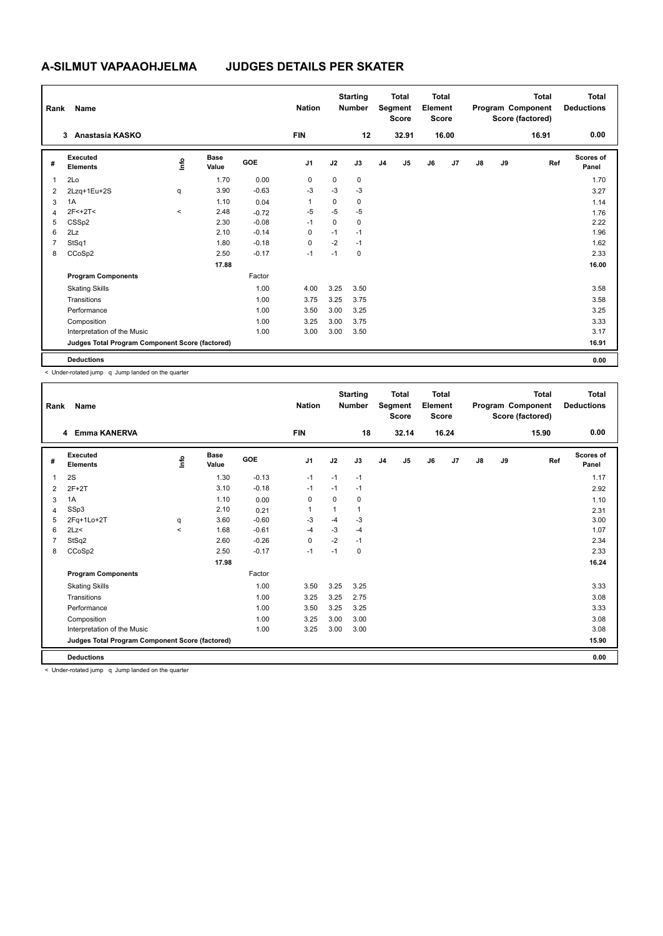| Rank           | <b>Name</b>                                     |          |                      |            | <b>Nation</b>  |      | <b>Starting</b><br><b>Number</b> |                | <b>Total</b><br>Segment<br><b>Score</b> | <b>Total</b><br>Element<br><b>Score</b> |       |               |    | <b>Total</b><br>Program Component<br>Score (factored) | Total<br><b>Deductions</b> |
|----------------|-------------------------------------------------|----------|----------------------|------------|----------------|------|----------------------------------|----------------|-----------------------------------------|-----------------------------------------|-------|---------------|----|-------------------------------------------------------|----------------------------|
|                | Anastasia KASKO<br>3                            |          |                      |            | <b>FIN</b>     |      | 12                               |                | 32.91                                   |                                         | 16.00 |               |    | 16.91                                                 | 0.00                       |
| #              | Executed<br><b>Elements</b>                     | ١mfo     | <b>Base</b><br>Value | <b>GOE</b> | J <sub>1</sub> | J2   | J3                               | J <sub>4</sub> | J5                                      | J6                                      | J7    | $\mathsf{J}8$ | J9 | Ref                                                   | <b>Scores of</b><br>Panel  |
| $\mathbf 1$    | 2Lo                                             |          | 1.70                 | 0.00       | 0              | 0    | 0                                |                |                                         |                                         |       |               |    |                                                       | 1.70                       |
| 2              | 2Lzq+1Eu+2S                                     | q        | 3.90                 | $-0.63$    | $-3$           | $-3$ | $-3$                             |                |                                         |                                         |       |               |    |                                                       | 3.27                       |
| 3              | 1A                                              |          | 1.10                 | 0.04       |                | 0    | $\mathbf 0$                      |                |                                         |                                         |       |               |    |                                                       | 1.14                       |
| $\overline{4}$ | $2F<+2T<$                                       | $\hat{}$ | 2.48                 | $-0.72$    | $-5$           | $-5$ | $-5$                             |                |                                         |                                         |       |               |    |                                                       | 1.76                       |
| 5              | CSSp2                                           |          | 2.30                 | $-0.08$    | $-1$           | 0    | 0                                |                |                                         |                                         |       |               |    |                                                       | 2.22                       |
| 6              | 2Lz                                             |          | 2.10                 | $-0.14$    | $\Omega$       | $-1$ | $-1$                             |                |                                         |                                         |       |               |    |                                                       | 1.96                       |
| $\overline{7}$ | StSq1                                           |          | 1.80                 | $-0.18$    | $\mathbf 0$    | $-2$ | $-1$                             |                |                                         |                                         |       |               |    |                                                       | 1.62                       |
| 8              | CCoSp2                                          |          | 2.50                 | $-0.17$    | $-1$           | $-1$ | $\pmb{0}$                        |                |                                         |                                         |       |               |    |                                                       | 2.33                       |
|                |                                                 |          | 17.88                |            |                |      |                                  |                |                                         |                                         |       |               |    |                                                       | 16.00                      |
|                | <b>Program Components</b>                       |          |                      | Factor     |                |      |                                  |                |                                         |                                         |       |               |    |                                                       |                            |
|                | <b>Skating Skills</b>                           |          |                      | 1.00       | 4.00           | 3.25 | 3.50                             |                |                                         |                                         |       |               |    |                                                       | 3.58                       |
|                | Transitions                                     |          |                      | 1.00       | 3.75           | 3.25 | 3.75                             |                |                                         |                                         |       |               |    |                                                       | 3.58                       |
|                | Performance                                     |          |                      | 1.00       | 3.50           | 3.00 | 3.25                             |                |                                         |                                         |       |               |    |                                                       | 3.25                       |
|                | Composition                                     |          |                      | 1.00       | 3.25           | 3.00 | 3.75                             |                |                                         |                                         |       |               |    |                                                       | 3.33                       |
|                | Interpretation of the Music                     |          |                      | 1.00       | 3.00           | 3.00 | 3.50                             |                |                                         |                                         |       |               |    |                                                       | 3.17                       |
|                | Judges Total Program Component Score (factored) |          |                      |            |                |      |                                  |                |                                         |                                         |       |               |    |                                                       | 16.91                      |
|                | <b>Deductions</b>                               |          |                      |            |                |      |                                  |                |                                         |                                         |       |               |    |                                                       | 0.00                       |

< Under-rotated jump q Jump landed on the quarter

| Rank         | Name                                            |         |                      |         | <b>Nation</b>  |          | <b>Starting</b><br><b>Number</b> |                | <b>Total</b><br>Segment<br><b>Score</b> | <b>Total</b><br>Element<br><b>Score</b> |                |               |    | <b>Total</b><br>Program Component<br>Score (factored) | <b>Total</b><br><b>Deductions</b> |
|--------------|-------------------------------------------------|---------|----------------------|---------|----------------|----------|----------------------------------|----------------|-----------------------------------------|-----------------------------------------|----------------|---------------|----|-------------------------------------------------------|-----------------------------------|
|              | 4 Emma KANERVA                                  |         |                      |         | <b>FIN</b>     |          | 18                               |                | 32.14                                   |                                         | 16.24          |               |    | 15.90                                                 | 0.00                              |
| #            | Executed<br><b>Elements</b>                     | info    | <b>Base</b><br>Value | GOE     | J <sub>1</sub> | J2       | J3                               | J <sub>4</sub> | J <sub>5</sub>                          | J6                                      | J <sub>7</sub> | $\mathsf{J}8$ | J9 | Ref                                                   | <b>Scores of</b><br>Panel         |
| $\mathbf{1}$ | 2S                                              |         | 1.30                 | $-0.13$ | $-1$           | $-1$     | $-1$                             |                |                                         |                                         |                |               |    |                                                       | 1.17                              |
| 2            | $2F+2T$                                         |         | 3.10                 | $-0.18$ | $-1$           | $-1$     | $-1$                             |                |                                         |                                         |                |               |    |                                                       | 2.92                              |
| 3            | 1A                                              |         | 1.10                 | 0.00    | 0              | $\Omega$ | 0                                |                |                                         |                                         |                |               |    |                                                       | 1.10                              |
| 4            | SSp3                                            |         | 2.10                 | 0.21    | $\mathbf{1}$   | 1        | 1                                |                |                                         |                                         |                |               |    |                                                       | 2.31                              |
| 5            | 2Fq+1Lo+2T                                      | q       | 3.60                 | $-0.60$ | $-3$           | $-4$     | $-3$                             |                |                                         |                                         |                |               |    |                                                       | 3.00                              |
| 6            | 2Lz<                                            | $\prec$ | 1.68                 | $-0.61$ | $-4$           | $-3$     | $-4$                             |                |                                         |                                         |                |               |    |                                                       | 1.07                              |
| 7            | StSq2                                           |         | 2.60                 | $-0.26$ | $\Omega$       | $-2$     | $-1$                             |                |                                         |                                         |                |               |    |                                                       | 2.34                              |
| 8            | CCoSp2                                          |         | 2.50                 | $-0.17$ | $-1$           | $-1$     | 0                                |                |                                         |                                         |                |               |    |                                                       | 2.33                              |
|              |                                                 |         | 17.98                |         |                |          |                                  |                |                                         |                                         |                |               |    |                                                       | 16.24                             |
|              | <b>Program Components</b>                       |         |                      | Factor  |                |          |                                  |                |                                         |                                         |                |               |    |                                                       |                                   |
|              | <b>Skating Skills</b>                           |         |                      | 1.00    | 3.50           | 3.25     | 3.25                             |                |                                         |                                         |                |               |    |                                                       | 3.33                              |
|              | Transitions                                     |         |                      | 1.00    | 3.25           | 3.25     | 2.75                             |                |                                         |                                         |                |               |    |                                                       | 3.08                              |
|              | Performance                                     |         |                      | 1.00    | 3.50           | 3.25     | 3.25                             |                |                                         |                                         |                |               |    |                                                       | 3.33                              |
|              | Composition                                     |         |                      | 1.00    | 3.25           | 3.00     | 3.00                             |                |                                         |                                         |                |               |    |                                                       | 3.08                              |
|              | Interpretation of the Music                     |         |                      | 1.00    | 3.25           | 3.00     | 3.00                             |                |                                         |                                         |                |               |    |                                                       | 3.08                              |
|              | Judges Total Program Component Score (factored) |         |                      |         |                |          |                                  |                |                                         |                                         |                |               |    |                                                       | 15.90                             |
|              | <b>Deductions</b>                               |         |                      |         |                |          |                                  |                |                                         |                                         |                |               |    |                                                       | 0.00                              |

< Under-rotated jump q Jump landed on the quarter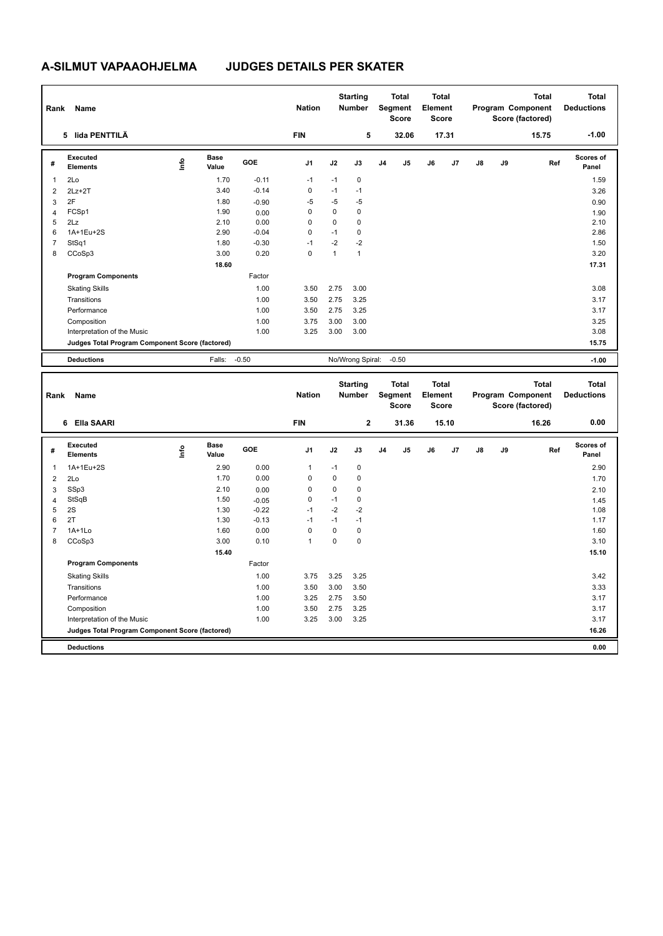| Rank           | Name                                            |      |                      |         | <b>Nation</b>  |              | <b>Starting</b><br><b>Number</b> |                | <b>Total</b><br>Segment<br><b>Score</b> | <b>Total</b><br>Element<br><b>Score</b> |       |               |    | <b>Total</b><br>Program Component<br>Score (factored) | <b>Total</b><br><b>Deductions</b> |
|----------------|-------------------------------------------------|------|----------------------|---------|----------------|--------------|----------------------------------|----------------|-----------------------------------------|-----------------------------------------|-------|---------------|----|-------------------------------------------------------|-----------------------------------|
|                | 5 lida PENTTILÄ                                 |      |                      |         | <b>FIN</b>     |              | 5                                |                | 32.06                                   |                                         | 17.31 |               |    | 15.75                                                 | $-1.00$                           |
| #              | Executed<br><b>Elements</b>                     | lnfo | <b>Base</b><br>Value | GOE     | J <sub>1</sub> | J2           | J3                               | J <sub>4</sub> | J5                                      | J6                                      | J7    | J8            | J9 | Ref                                                   | Scores of<br>Panel                |
| $\mathbf{1}$   | 2Lo                                             |      | 1.70                 | $-0.11$ | $-1$           | $-1$         | 0                                |                |                                         |                                         |       |               |    |                                                       | 1.59                              |
| $\overline{2}$ | $2Lz + 2T$                                      |      | 3.40                 | $-0.14$ | 0              | $-1$         | $-1$                             |                |                                         |                                         |       |               |    |                                                       | 3.26                              |
| 3              | 2F                                              |      | 1.80                 | $-0.90$ | $-5$           | $-5$         | $-5$                             |                |                                         |                                         |       |               |    |                                                       | 0.90                              |
| $\overline{4}$ | FCSp1                                           |      | 1.90                 | 0.00    | 0              | 0            | $\mathbf 0$                      |                |                                         |                                         |       |               |    |                                                       | 1.90                              |
| 5              | 2Lz                                             |      | 2.10                 | 0.00    | 0              | 0            | $\mathbf 0$                      |                |                                         |                                         |       |               |    |                                                       | 2.10                              |
| 6              | 1A+1Eu+2S                                       |      | 2.90                 | $-0.04$ | 0              | $-1$         | $\mathbf 0$                      |                |                                         |                                         |       |               |    |                                                       | 2.86                              |
| $\overline{7}$ | StSq1                                           |      | 1.80                 | $-0.30$ | $-1$           | $-2$         | $-2$                             |                |                                         |                                         |       |               |    |                                                       | 1.50                              |
| 8              | CCoSp3                                          |      | 3.00                 | 0.20    | $\mathbf 0$    | $\mathbf{1}$ | $\mathbf{1}$                     |                |                                         |                                         |       |               |    |                                                       | 3.20                              |
|                |                                                 |      | 18.60                |         |                |              |                                  |                |                                         |                                         |       |               |    |                                                       | 17.31                             |
|                | <b>Program Components</b>                       |      |                      | Factor  |                |              |                                  |                |                                         |                                         |       |               |    |                                                       |                                   |
|                | <b>Skating Skills</b>                           |      |                      | 1.00    | 3.50           | 2.75         | 3.00                             |                |                                         |                                         |       |               |    |                                                       | 3.08                              |
|                | Transitions                                     |      |                      | 1.00    | 3.50           | 2.75         | 3.25                             |                |                                         |                                         |       |               |    |                                                       | 3.17                              |
|                | Performance                                     |      |                      | 1.00    | 3.50           | 2.75         | 3.25                             |                |                                         |                                         |       |               |    |                                                       | 3.17                              |
|                | Composition                                     |      |                      | 1.00    | 3.75           | 3.00         | 3.00                             |                |                                         |                                         |       |               |    |                                                       | 3.25                              |
|                | Interpretation of the Music                     |      |                      | 1.00    | 3.25           | 3.00         | 3.00                             |                |                                         |                                         |       |               |    |                                                       | 3.08                              |
|                | Judges Total Program Component Score (factored) |      |                      |         |                |              |                                  |                |                                         |                                         |       |               |    |                                                       | 15.75                             |
|                | <b>Deductions</b>                               |      | Falls:               | $-0.50$ |                |              | No/Wrong Spiral:                 |                | $-0.50$                                 |                                         |       |               |    |                                                       | $-1.00$                           |
|                |                                                 |      |                      |         |                |              |                                  |                |                                         |                                         |       |               |    |                                                       |                                   |
| Rank           | Name                                            |      |                      |         | <b>Nation</b>  |              | <b>Starting</b><br>Number        |                | <b>Total</b><br>Segment<br><b>Score</b> | <b>Total</b><br>Element<br><b>Score</b> |       |               |    | <b>Total</b><br>Program Component<br>Score (factored) | <b>Total</b><br><b>Deductions</b> |
|                | 6 Ella SAARI                                    |      |                      |         | <b>FIN</b>     |              | $\mathbf{2}$                     |                | 31.36                                   |                                         | 15.10 |               |    | 16.26                                                 | 0.00                              |
| #              | <b>Executed</b><br><b>Elements</b>              | lnfo | <b>Base</b><br>Value | GOE     | J <sub>1</sub> | J2           | J3                               | J <sub>4</sub> | J <sub>5</sub>                          | J6                                      | J7    | $\mathsf{J}8$ | J9 | Ref                                                   | <b>Scores of</b><br>Panel         |
| -1             | 1A+1Eu+2S                                       |      | 2.90                 | 0.00    | 1              | $-1$         | $\mathbf 0$                      |                |                                         |                                         |       |               |    |                                                       | 2.90                              |
| 2              | 2Lo                                             |      | 1.70                 | 0.00    | 0              | 0            | $\Omega$                         |                |                                         |                                         |       |               |    |                                                       | 1.70                              |

 SSp3 2.10 0.00 0 0 0 2.10 StSqB 1.50 -0.05 0 -1 0 1.45  $5 \quad 2S$   $1.30 \quad -0.22$   $-1 \quad -2 \quad -2$  2T 1.30 -0.13 -1 -1 -1 1.17 1A+1Lo 1.60 0.00 0 0 0 1.60 CCoSp3 3.00 0.10 1 0 0 3.10

Skating Skills 3.75 3.25 3.25 1.00 3.42

Transitions 1.00 3.50 3.00 3.50 3.33 Performance 2.00 3.17 3.17 3.17 3.17 3.17 3.50 3.17 3.50 3.17 3.17 3.17 3.17 3.17 3.17 3.17 Composition 2.17 2.00 3.50 2.75 3.25 3.25 3.17 3.17 Interpretation of the Music 1.00 3.25 3.00 3.25 3.17

**Judges Total Program Component Score (factored) 16.26**

Factor

 **15.40 15.40 15.40** 

**Deductions 0.00**

**Program Components**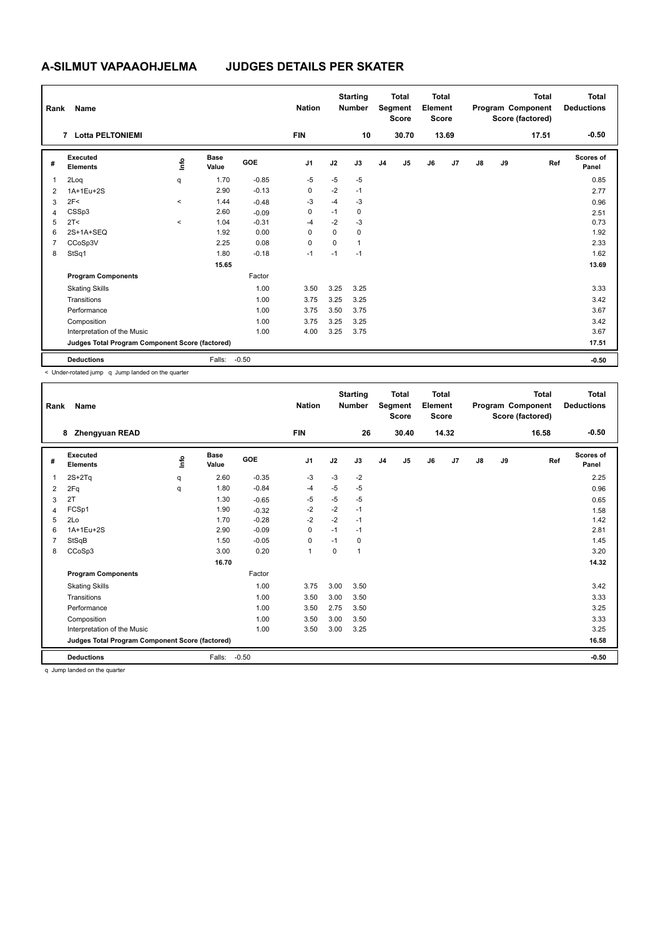| Rank           | Name                                            |          |                      |            | <b>Nation</b>  |      | <b>Starting</b><br><b>Number</b> |                | <b>Total</b><br>Segment<br><b>Score</b> | <b>Total</b><br>Element<br><b>Score</b> |       |               |    | <b>Total</b><br>Program Component<br>Score (factored) | Total<br><b>Deductions</b> |
|----------------|-------------------------------------------------|----------|----------------------|------------|----------------|------|----------------------------------|----------------|-----------------------------------------|-----------------------------------------|-------|---------------|----|-------------------------------------------------------|----------------------------|
|                | 7 Lotta PELTONIEMI                              |          |                      |            | <b>FIN</b>     |      | 10                               |                | 30.70                                   |                                         | 13.69 |               |    | 17.51                                                 | $-0.50$                    |
| #              | Executed<br><b>Elements</b>                     | ١mfo     | <b>Base</b><br>Value | <b>GOE</b> | J <sub>1</sub> | J2   | J3                               | J <sub>4</sub> | J5                                      | J6                                      | J7    | $\mathsf{J}8$ | J9 | Ref                                                   | <b>Scores of</b><br>Panel  |
| 1              | 2Loq                                            | q        | 1.70                 | $-0.85$    | $-5$           | $-5$ | $-5$                             |                |                                         |                                         |       |               |    |                                                       | 0.85                       |
| $\overline{2}$ | 1A+1Eu+2S                                       |          | 2.90                 | $-0.13$    | 0              | $-2$ | $-1$                             |                |                                         |                                         |       |               |    |                                                       | 2.77                       |
| 3              | 2F<                                             | $\hat{}$ | 1.44                 | $-0.48$    | $-3$           | $-4$ | $-3$                             |                |                                         |                                         |       |               |    |                                                       | 0.96                       |
| 4              | CSSp3                                           |          | 2.60                 | $-0.09$    | 0              | $-1$ | 0                                |                |                                         |                                         |       |               |    |                                                       | 2.51                       |
| 5              | 2T <                                            | $\,<\,$  | 1.04                 | $-0.31$    | $-4$           | $-2$ | $-3$                             |                |                                         |                                         |       |               |    |                                                       | 0.73                       |
| 6              | 2S+1A+SEQ                                       |          | 1.92                 | 0.00       | $\Omega$       | 0    | $\mathbf 0$                      |                |                                         |                                         |       |               |    |                                                       | 1.92                       |
| $\overline{7}$ | CCoSp3V                                         |          | 2.25                 | 0.08       | $\mathbf 0$    | 0    | $\mathbf{1}$                     |                |                                         |                                         |       |               |    |                                                       | 2.33                       |
| 8              | StSq1                                           |          | 1.80                 | $-0.18$    | $-1$           | $-1$ | $-1$                             |                |                                         |                                         |       |               |    |                                                       | 1.62                       |
|                |                                                 |          | 15.65                |            |                |      |                                  |                |                                         |                                         |       |               |    |                                                       | 13.69                      |
|                | <b>Program Components</b>                       |          |                      | Factor     |                |      |                                  |                |                                         |                                         |       |               |    |                                                       |                            |
|                | <b>Skating Skills</b>                           |          |                      | 1.00       | 3.50           | 3.25 | 3.25                             |                |                                         |                                         |       |               |    |                                                       | 3.33                       |
|                | Transitions                                     |          |                      | 1.00       | 3.75           | 3.25 | 3.25                             |                |                                         |                                         |       |               |    |                                                       | 3.42                       |
|                | Performance                                     |          |                      | 1.00       | 3.75           | 3.50 | 3.75                             |                |                                         |                                         |       |               |    |                                                       | 3.67                       |
|                | Composition                                     |          |                      | 1.00       | 3.75           | 3.25 | 3.25                             |                |                                         |                                         |       |               |    |                                                       | 3.42                       |
|                | Interpretation of the Music                     |          |                      | 1.00       | 4.00           | 3.25 | 3.75                             |                |                                         |                                         |       |               |    |                                                       | 3.67                       |
|                | Judges Total Program Component Score (factored) |          |                      |            |                |      |                                  |                |                                         |                                         |       |               |    |                                                       | 17.51                      |
|                | <b>Deductions</b>                               |          | Falls:               | $-0.50$    |                |      |                                  |                |                                         |                                         |       |               |    |                                                       | $-0.50$                    |

< Under-rotated jump q Jump landed on the quarter

| Rank | Name                                            |      |                      |            | <b>Nation</b>  |      | <b>Starting</b><br><b>Number</b> |                | <b>Total</b><br>Segment<br><b>Score</b> | <b>Total</b><br>Element<br><b>Score</b> |       |               |    | <b>Total</b><br>Program Component<br>Score (factored) | <b>Total</b><br><b>Deductions</b> |
|------|-------------------------------------------------|------|----------------------|------------|----------------|------|----------------------------------|----------------|-----------------------------------------|-----------------------------------------|-------|---------------|----|-------------------------------------------------------|-----------------------------------|
|      | <b>Zhengyuan READ</b><br>8                      |      |                      |            | <b>FIN</b>     |      | 26                               |                | 30.40                                   |                                         | 14.32 |               |    | 16.58                                                 | $-0.50$                           |
| #    | Executed<br><b>Elements</b>                     | info | <b>Base</b><br>Value | <b>GOE</b> | J <sub>1</sub> | J2   | J3                               | J <sub>4</sub> | J5                                      | J6                                      | J7    | $\mathsf{J}8$ | J9 | Ref                                                   | <b>Scores of</b><br>Panel         |
| 1    | $2S+2Tq$                                        | q    | 2.60                 | $-0.35$    | $-3$           | $-3$ | $-2$                             |                |                                         |                                         |       |               |    |                                                       | 2.25                              |
| 2    | 2Fq                                             | q    | 1.80                 | $-0.84$    | $-4$           | $-5$ | $-5$                             |                |                                         |                                         |       |               |    |                                                       | 0.96                              |
| 3    | 2T                                              |      | 1.30                 | $-0.65$    | $-5$           | $-5$ | $-5$                             |                |                                         |                                         |       |               |    |                                                       | 0.65                              |
| 4    | FCSp1                                           |      | 1.90                 | $-0.32$    | $-2$           | $-2$ | $-1$                             |                |                                         |                                         |       |               |    |                                                       | 1.58                              |
| 5    | 2Lo                                             |      | 1.70                 | $-0.28$    | $-2$           | $-2$ | $-1$                             |                |                                         |                                         |       |               |    |                                                       | 1.42                              |
| 6    | 1A+1Eu+2S                                       |      | 2.90                 | $-0.09$    | $\Omega$       | $-1$ | $-1$                             |                |                                         |                                         |       |               |    |                                                       | 2.81                              |
| 7    | StSqB                                           |      | 1.50                 | $-0.05$    | 0              | $-1$ | 0                                |                |                                         |                                         |       |               |    |                                                       | 1.45                              |
| 8    | CCoSp3                                          |      | 3.00                 | 0.20       | 1              | 0    | 1                                |                |                                         |                                         |       |               |    |                                                       | 3.20                              |
|      |                                                 |      | 16.70                |            |                |      |                                  |                |                                         |                                         |       |               |    |                                                       | 14.32                             |
|      | <b>Program Components</b>                       |      |                      | Factor     |                |      |                                  |                |                                         |                                         |       |               |    |                                                       |                                   |
|      | <b>Skating Skills</b>                           |      |                      | 1.00       | 3.75           | 3.00 | 3.50                             |                |                                         |                                         |       |               |    |                                                       | 3.42                              |
|      | Transitions                                     |      |                      | 1.00       | 3.50           | 3.00 | 3.50                             |                |                                         |                                         |       |               |    |                                                       | 3.33                              |
|      | Performance                                     |      |                      | 1.00       | 3.50           | 2.75 | 3.50                             |                |                                         |                                         |       |               |    |                                                       | 3.25                              |
|      | Composition                                     |      |                      | 1.00       | 3.50           | 3.00 | 3.50                             |                |                                         |                                         |       |               |    |                                                       | 3.33                              |
|      | Interpretation of the Music                     |      |                      | 1.00       | 3.50           | 3.00 | 3.25                             |                |                                         |                                         |       |               |    |                                                       | 3.25                              |
|      | Judges Total Program Component Score (factored) |      |                      |            |                |      |                                  |                |                                         |                                         |       |               |    |                                                       | 16.58                             |
|      | <b>Deductions</b>                               |      | Falls:               | $-0.50$    |                |      |                                  |                |                                         |                                         |       |               |    |                                                       | $-0.50$                           |
|      | a ilusa londod on the questor.                  |      |                      |            |                |      |                                  |                |                                         |                                         |       |               |    |                                                       |                                   |

q Jump landed on the quarter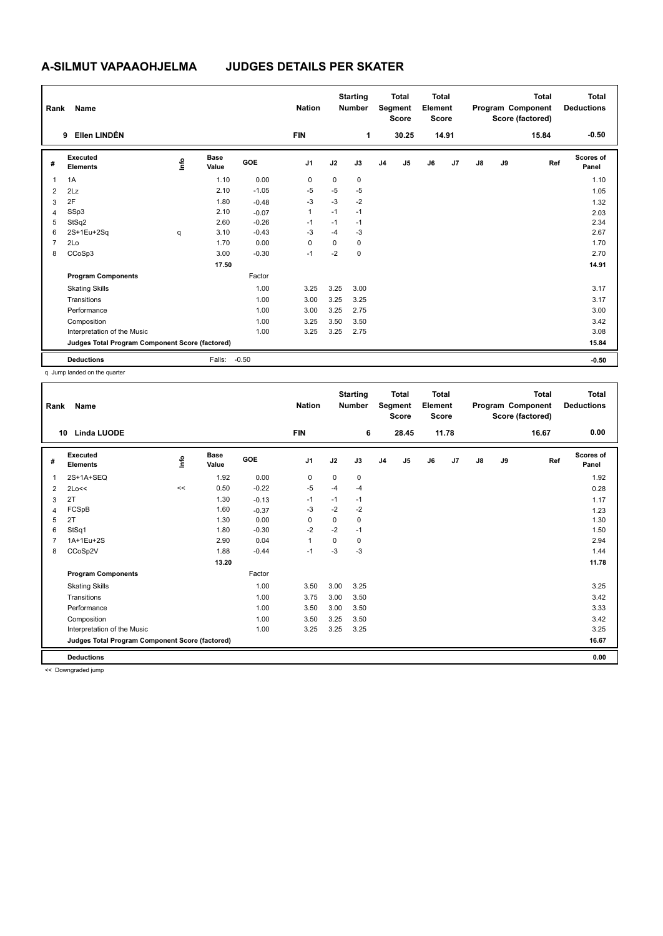| Rank           | Name                                            |      |                      |            | <b>Nation</b>  |      | <b>Starting</b><br><b>Number</b> |                | <b>Total</b><br>Segment<br><b>Score</b> | <b>Total</b><br>Element<br><b>Score</b> |       |    |    | <b>Total</b><br>Program Component<br>Score (factored) | <b>Total</b><br><b>Deductions</b> |
|----------------|-------------------------------------------------|------|----------------------|------------|----------------|------|----------------------------------|----------------|-----------------------------------------|-----------------------------------------|-------|----|----|-------------------------------------------------------|-----------------------------------|
|                | Ellen LINDÉN<br>9                               |      |                      |            | <b>FIN</b>     |      | 1                                |                | 30.25                                   |                                         | 14.91 |    |    | 15.84                                                 | $-0.50$                           |
| #              | Executed<br><b>Elements</b>                     | lnfo | <b>Base</b><br>Value | <b>GOE</b> | J <sub>1</sub> | J2   | J3                               | J <sub>4</sub> | J <sub>5</sub>                          | J6                                      | J7    | J8 | J9 | Ref                                                   | Scores of<br>Panel                |
| 1              | 1A                                              |      | 1.10                 | 0.00       | 0              | 0    | $\mathbf 0$                      |                |                                         |                                         |       |    |    |                                                       | 1.10                              |
| $\overline{2}$ | 2Lz                                             |      | 2.10                 | $-1.05$    | $-5$           | $-5$ | $-5$                             |                |                                         |                                         |       |    |    |                                                       | 1.05                              |
| 3              | 2F                                              |      | 1.80                 | $-0.48$    | $-3$           | $-3$ | $-2$                             |                |                                         |                                         |       |    |    |                                                       | 1.32                              |
| $\overline{4}$ | SSp3                                            |      | 2.10                 | $-0.07$    | 1              | $-1$ | $-1$                             |                |                                         |                                         |       |    |    |                                                       | 2.03                              |
| 5              | StSq2                                           |      | 2.60                 | $-0.26$    | $-1$           | $-1$ | $-1$                             |                |                                         |                                         |       |    |    |                                                       | 2.34                              |
| 6              | 2S+1Eu+2Sq                                      | q    | 3.10                 | $-0.43$    | $-3$           | $-4$ | -3                               |                |                                         |                                         |       |    |    |                                                       | 2.67                              |
| 7              | 2Lo                                             |      | 1.70                 | 0.00       | 0              | 0    | 0                                |                |                                         |                                         |       |    |    |                                                       | 1.70                              |
| 8              | CCoSp3                                          |      | 3.00                 | $-0.30$    | $-1$           | $-2$ | $\mathbf 0$                      |                |                                         |                                         |       |    |    |                                                       | 2.70                              |
|                |                                                 |      | 17.50                |            |                |      |                                  |                |                                         |                                         |       |    |    |                                                       | 14.91                             |
|                | <b>Program Components</b>                       |      |                      | Factor     |                |      |                                  |                |                                         |                                         |       |    |    |                                                       |                                   |
|                | <b>Skating Skills</b>                           |      |                      | 1.00       | 3.25           | 3.25 | 3.00                             |                |                                         |                                         |       |    |    |                                                       | 3.17                              |
|                | Transitions                                     |      |                      | 1.00       | 3.00           | 3.25 | 3.25                             |                |                                         |                                         |       |    |    |                                                       | 3.17                              |
|                | Performance                                     |      |                      | 1.00       | 3.00           | 3.25 | 2.75                             |                |                                         |                                         |       |    |    |                                                       | 3.00                              |
|                | Composition                                     |      |                      | 1.00       | 3.25           | 3.50 | 3.50                             |                |                                         |                                         |       |    |    |                                                       | 3.42                              |
|                | Interpretation of the Music                     |      |                      | 1.00       | 3.25           | 3.25 | 2.75                             |                |                                         |                                         |       |    |    |                                                       | 3.08                              |
|                | Judges Total Program Component Score (factored) |      |                      |            |                |      |                                  |                |                                         |                                         |       |    |    |                                                       | 15.84                             |
|                | <b>Deductions</b>                               |      | Falls:               | $-0.50$    |                |      |                                  |                |                                         |                                         |       |    |    |                                                       | $-0.50$                           |

q Jump landed on the quarter

| Rank | Name                                            |      |                      |            | <b>Nation</b>  |          | <b>Starting</b><br><b>Number</b> |                | Total<br>Segment<br><b>Score</b> | <b>Total</b><br>Element<br><b>Score</b> |       |               |    | <b>Total</b><br>Program Component<br>Score (factored) | <b>Total</b><br><b>Deductions</b> |
|------|-------------------------------------------------|------|----------------------|------------|----------------|----------|----------------------------------|----------------|----------------------------------|-----------------------------------------|-------|---------------|----|-------------------------------------------------------|-----------------------------------|
| 10   | <b>Linda LUODE</b>                              |      |                      |            | <b>FIN</b>     |          | 6                                |                | 28.45                            |                                         | 11.78 |               |    | 16.67                                                 | 0.00                              |
| #    | Executed<br><b>Elements</b>                     | ١ifo | <b>Base</b><br>Value | <b>GOE</b> | J <sub>1</sub> | J2       | J3                               | J <sub>4</sub> | J <sub>5</sub>                   | J6                                      | J7    | $\mathsf{J}8$ | J9 | Ref                                                   | <b>Scores of</b><br>Panel         |
| 1    | 2S+1A+SEQ                                       |      | 1.92                 | 0.00       | 0              | 0        | 0                                |                |                                  |                                         |       |               |    |                                                       | 1.92                              |
| 2    | 2Lo<<                                           | <<   | 0.50                 | $-0.22$    | -5             | $-4$     | $-4$                             |                |                                  |                                         |       |               |    |                                                       | 0.28                              |
| 3    | 2T                                              |      | 1.30                 | $-0.13$    | $-1$           | $-1$     | $-1$                             |                |                                  |                                         |       |               |    |                                                       | 1.17                              |
| 4    | FCSpB                                           |      | 1.60                 | $-0.37$    | $-3$           | $-2$     | $-2$                             |                |                                  |                                         |       |               |    |                                                       | 1.23                              |
| 5    | 2T                                              |      | 1.30                 | 0.00       | 0              | $\Omega$ | 0                                |                |                                  |                                         |       |               |    |                                                       | 1.30                              |
| 6    | StSq1                                           |      | 1.80                 | $-0.30$    | $-2$           | $-2$     | $-1$                             |                |                                  |                                         |       |               |    |                                                       | 1.50                              |
| 7    | 1A+1Eu+2S                                       |      | 2.90                 | 0.04       | 1              | $\Omega$ | 0                                |                |                                  |                                         |       |               |    |                                                       | 2.94                              |
| 8    | CCoSp2V                                         |      | 1.88                 | $-0.44$    | $-1$           | $-3$     | $-3$                             |                |                                  |                                         |       |               |    |                                                       | 1.44                              |
|      |                                                 |      | 13.20                |            |                |          |                                  |                |                                  |                                         |       |               |    |                                                       | 11.78                             |
|      | <b>Program Components</b>                       |      |                      | Factor     |                |          |                                  |                |                                  |                                         |       |               |    |                                                       |                                   |
|      | <b>Skating Skills</b>                           |      |                      | 1.00       | 3.50           | 3.00     | 3.25                             |                |                                  |                                         |       |               |    |                                                       | 3.25                              |
|      | Transitions                                     |      |                      | 1.00       | 3.75           | 3.00     | 3.50                             |                |                                  |                                         |       |               |    |                                                       | 3.42                              |
|      | Performance                                     |      |                      | 1.00       | 3.50           | 3.00     | 3.50                             |                |                                  |                                         |       |               |    |                                                       | 3.33                              |
|      | Composition                                     |      |                      | 1.00       | 3.50           | 3.25     | 3.50                             |                |                                  |                                         |       |               |    |                                                       | 3.42                              |
|      | Interpretation of the Music                     |      |                      | 1.00       | 3.25           | 3.25     | 3.25                             |                |                                  |                                         |       |               |    |                                                       | 3.25                              |
|      | Judges Total Program Component Score (factored) |      |                      |            |                |          |                                  |                |                                  |                                         |       |               |    |                                                       | 16.67                             |
|      | <b>Deductions</b>                               |      |                      |            |                |          |                                  |                |                                  |                                         |       |               |    |                                                       | 0.00                              |

<< Downgraded jump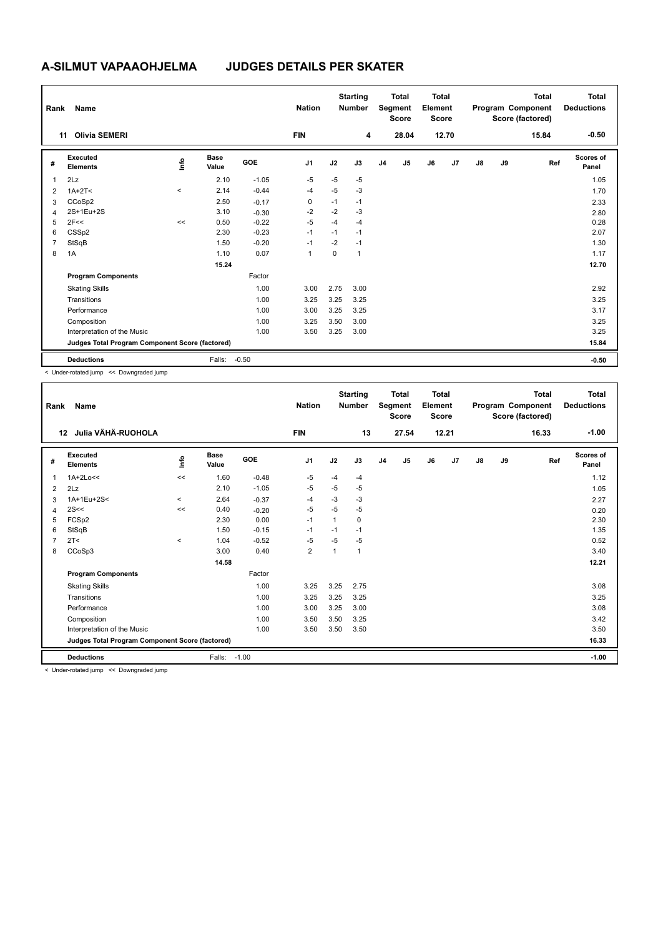| Rank           | Name                                            |                     |                      |            | <b>Nation</b>  |      | <b>Starting</b><br><b>Number</b> |                | <b>Total</b><br>Segment<br><b>Score</b> | Total<br>Element<br><b>Score</b> |       |               |    | <b>Total</b><br>Program Component<br>Score (factored) | <b>Total</b><br><b>Deductions</b> |
|----------------|-------------------------------------------------|---------------------|----------------------|------------|----------------|------|----------------------------------|----------------|-----------------------------------------|----------------------------------|-------|---------------|----|-------------------------------------------------------|-----------------------------------|
|                | <b>Olivia SEMERI</b><br>11                      |                     |                      |            | <b>FIN</b>     |      | 4                                |                | 28.04                                   |                                  | 12.70 |               |    | 15.84                                                 | $-0.50$                           |
| #              | Executed<br><b>Elements</b>                     | lnfo                | <b>Base</b><br>Value | <b>GOE</b> | J <sub>1</sub> | J2   | J3                               | J <sub>4</sub> | J5                                      | J6                               | J7    | $\mathsf{J}8$ | J9 | Ref                                                   | Scores of<br>Panel                |
| 1              | 2Lz                                             |                     | 2.10                 | $-1.05$    | $-5$           | $-5$ | $-5$                             |                |                                         |                                  |       |               |    |                                                       | 1.05                              |
| 2              | $1A+2T2$                                        | $\hat{\phantom{a}}$ | 2.14                 | $-0.44$    | $-4$           | $-5$ | $-3$                             |                |                                         |                                  |       |               |    |                                                       | 1.70                              |
| 3              | CCoSp2                                          |                     | 2.50                 | $-0.17$    | 0              | $-1$ | $-1$                             |                |                                         |                                  |       |               |    |                                                       | 2.33                              |
| 4              | 2S+1Eu+2S                                       |                     | 3.10                 | $-0.30$    | $-2$           | $-2$ | -3                               |                |                                         |                                  |       |               |    |                                                       | 2.80                              |
| 5              | 2F<<                                            | <<                  | 0.50                 | $-0.22$    | $-5$           | $-4$ | $-4$                             |                |                                         |                                  |       |               |    |                                                       | 0.28                              |
| 6              | CSSp2                                           |                     | 2.30                 | $-0.23$    | $-1$           | $-1$ | $-1$                             |                |                                         |                                  |       |               |    |                                                       | 2.07                              |
| $\overline{7}$ | StSqB                                           |                     | 1.50                 | $-0.20$    | $-1$           | $-2$ | $-1$                             |                |                                         |                                  |       |               |    |                                                       | 1.30                              |
| 8              | 1A                                              |                     | 1.10                 | 0.07       | $\mathbf{1}$   | 0    | $\overline{1}$                   |                |                                         |                                  |       |               |    |                                                       | 1.17                              |
|                |                                                 |                     | 15.24                |            |                |      |                                  |                |                                         |                                  |       |               |    |                                                       | 12.70                             |
|                | <b>Program Components</b>                       |                     |                      | Factor     |                |      |                                  |                |                                         |                                  |       |               |    |                                                       |                                   |
|                | <b>Skating Skills</b>                           |                     |                      | 1.00       | 3.00           | 2.75 | 3.00                             |                |                                         |                                  |       |               |    |                                                       | 2.92                              |
|                | Transitions                                     |                     |                      | 1.00       | 3.25           | 3.25 | 3.25                             |                |                                         |                                  |       |               |    |                                                       | 3.25                              |
|                | Performance                                     |                     |                      | 1.00       | 3.00           | 3.25 | 3.25                             |                |                                         |                                  |       |               |    |                                                       | 3.17                              |
|                | Composition                                     |                     |                      | 1.00       | 3.25           | 3.50 | 3.00                             |                |                                         |                                  |       |               |    |                                                       | 3.25                              |
|                | Interpretation of the Music                     |                     |                      | 1.00       | 3.50           | 3.25 | 3.00                             |                |                                         |                                  |       |               |    |                                                       | 3.25                              |
|                | Judges Total Program Component Score (factored) |                     |                      |            |                |      |                                  |                |                                         |                                  |       |               |    |                                                       | 15.84                             |
|                | <b>Deductions</b>                               |                     | Falls:               | $-0.50$    |                |      |                                  |                |                                         |                                  |       |               |    |                                                       | $-0.50$                           |

< Under-rotated jump << Downgraded jump

| Rank | Name                                            |          |                      |         | <b>Nation</b>  |      | <b>Starting</b><br><b>Number</b> |                | <b>Total</b><br>Segment<br><b>Score</b> | <b>Total</b><br>Element<br><b>Score</b> |       |               |    | <b>Total</b><br>Program Component<br>Score (factored) | <b>Total</b><br><b>Deductions</b> |
|------|-------------------------------------------------|----------|----------------------|---------|----------------|------|----------------------------------|----------------|-----------------------------------------|-----------------------------------------|-------|---------------|----|-------------------------------------------------------|-----------------------------------|
|      | Julia VÄHÄ-RUOHOLA<br>12                        |          |                      |         | <b>FIN</b>     |      | 13                               |                | 27.54                                   |                                         | 12.21 |               |    | 16.33                                                 | $-1.00$                           |
| #    | Executed<br><b>Elements</b>                     | ١ifo     | <b>Base</b><br>Value | GOE     | J <sub>1</sub> | J2   | J3                               | J <sub>4</sub> | J5                                      | J6                                      | J7    | $\mathsf{J}8$ | J9 | Ref                                                   | <b>Scores of</b><br>Panel         |
| 1    | $1A+2Lo<<$                                      | <<       | 1.60                 | $-0.48$ | $-5$           | $-4$ | $-4$                             |                |                                         |                                         |       |               |    |                                                       | 1.12                              |
| 2    | 2Lz                                             |          | 2.10                 | $-1.05$ | $-5$           | $-5$ | $-5$                             |                |                                         |                                         |       |               |    |                                                       | 1.05                              |
| 3    | 1A+1Eu+2S<                                      | $\hat{}$ | 2.64                 | $-0.37$ | $-4$           | $-3$ | -3                               |                |                                         |                                         |       |               |    |                                                       | 2.27                              |
| 4    | 2S<<                                            | <<       | 0.40                 | $-0.20$ | $-5$           | $-5$ | $-5$                             |                |                                         |                                         |       |               |    |                                                       | 0.20                              |
| 5    | FCSp2                                           |          | 2.30                 | 0.00    | $-1$           | 1    | 0                                |                |                                         |                                         |       |               |    |                                                       | 2.30                              |
| 6    | StSqB                                           |          | 1.50                 | $-0.15$ | $-1$           | $-1$ | $-1$                             |                |                                         |                                         |       |               |    |                                                       | 1.35                              |
|      | 2T <                                            | $\hat{}$ | 1.04                 | $-0.52$ | $-5$           | $-5$ | $-5$                             |                |                                         |                                         |       |               |    |                                                       | 0.52                              |
| 8    | CCoSp3                                          |          | 3.00                 | 0.40    | $\overline{2}$ | 1    | 1                                |                |                                         |                                         |       |               |    |                                                       | 3.40                              |
|      |                                                 |          | 14.58                |         |                |      |                                  |                |                                         |                                         |       |               |    |                                                       | 12.21                             |
|      | <b>Program Components</b>                       |          |                      | Factor  |                |      |                                  |                |                                         |                                         |       |               |    |                                                       |                                   |
|      | <b>Skating Skills</b>                           |          |                      | 1.00    | 3.25           | 3.25 | 2.75                             |                |                                         |                                         |       |               |    |                                                       | 3.08                              |
|      | Transitions                                     |          |                      | 1.00    | 3.25           | 3.25 | 3.25                             |                |                                         |                                         |       |               |    |                                                       | 3.25                              |
|      | Performance                                     |          |                      | 1.00    | 3.00           | 3.25 | 3.00                             |                |                                         |                                         |       |               |    |                                                       | 3.08                              |
|      | Composition                                     |          |                      | 1.00    | 3.50           | 3.50 | 3.25                             |                |                                         |                                         |       |               |    |                                                       | 3.42                              |
|      | Interpretation of the Music                     |          |                      | 1.00    | 3.50           | 3.50 | 3.50                             |                |                                         |                                         |       |               |    |                                                       | 3.50                              |
|      | Judges Total Program Component Score (factored) |          |                      |         |                |      |                                  |                |                                         |                                         |       |               |    |                                                       | 16.33                             |
|      | <b>Deductions</b>                               |          | Falls:               | $-1.00$ |                |      |                                  |                |                                         |                                         |       |               |    |                                                       | $-1.00$                           |
|      | a Heder retated irons as Deumareded irons       |          |                      |         |                |      |                                  |                |                                         |                                         |       |               |    |                                                       |                                   |

< Under-rotated jump << Downgraded jump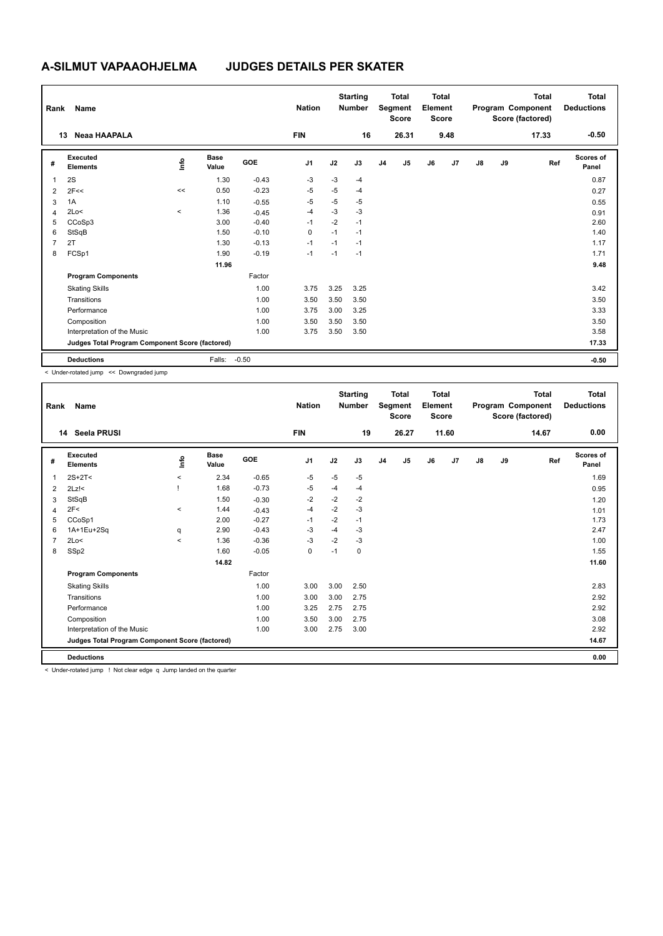| Rank           | Name                                            |                          |                      |         | <b>Nation</b>  |      | <b>Starting</b><br><b>Number</b> |                | <b>Total</b><br>Segment<br><b>Score</b> | <b>Total</b><br>Element<br><b>Score</b> |      |               |    | <b>Total</b><br>Program Component<br>Score (factored) | Total<br><b>Deductions</b> |
|----------------|-------------------------------------------------|--------------------------|----------------------|---------|----------------|------|----------------------------------|----------------|-----------------------------------------|-----------------------------------------|------|---------------|----|-------------------------------------------------------|----------------------------|
|                | Neaa HAAPALA<br>13                              |                          |                      |         | <b>FIN</b>     |      | 16                               |                | 26.31                                   |                                         | 9.48 |               |    | 17.33                                                 | $-0.50$                    |
| #              | <b>Executed</b><br><b>Elements</b>              | ١m                       | <b>Base</b><br>Value | GOE     | J <sub>1</sub> | J2   | J3                               | J <sub>4</sub> | J <sub>5</sub>                          | J6                                      | J7   | $\mathsf{J}8$ | J9 | Ref                                                   | <b>Scores of</b><br>Panel  |
| 1              | 2S                                              |                          | 1.30                 | $-0.43$ | $-3$           | $-3$ | $-4$                             |                |                                         |                                         |      |               |    |                                                       | 0.87                       |
| 2              | 2F<<                                            | <<                       | 0.50                 | $-0.23$ | $-5$           | $-5$ | $-4$                             |                |                                         |                                         |      |               |    |                                                       | 0.27                       |
| 3              | 1A                                              |                          | 1.10                 | $-0.55$ | $-5$           | $-5$ | $-5$                             |                |                                         |                                         |      |               |    |                                                       | 0.55                       |
| 4              | 2Lo<                                            | $\overline{\phantom{a}}$ | 1.36                 | $-0.45$ | $-4$           | $-3$ | $-3$                             |                |                                         |                                         |      |               |    |                                                       | 0.91                       |
| 5              | CCoSp3                                          |                          | 3.00                 | $-0.40$ | $-1$           | $-2$ | $-1$                             |                |                                         |                                         |      |               |    |                                                       | 2.60                       |
| 6              | StSqB                                           |                          | 1.50                 | $-0.10$ | 0              | $-1$ | $-1$                             |                |                                         |                                         |      |               |    |                                                       | 1.40                       |
| $\overline{7}$ | 2T                                              |                          | 1.30                 | $-0.13$ | $-1$           | $-1$ | $-1$                             |                |                                         |                                         |      |               |    |                                                       | 1.17                       |
| 8              | FCSp1                                           |                          | 1.90                 | $-0.19$ | $-1$           | $-1$ | $-1$                             |                |                                         |                                         |      |               |    |                                                       | 1.71                       |
|                |                                                 |                          | 11.96                |         |                |      |                                  |                |                                         |                                         |      |               |    |                                                       | 9.48                       |
|                | <b>Program Components</b>                       |                          |                      | Factor  |                |      |                                  |                |                                         |                                         |      |               |    |                                                       |                            |
|                | <b>Skating Skills</b>                           |                          |                      | 1.00    | 3.75           | 3.25 | 3.25                             |                |                                         |                                         |      |               |    |                                                       | 3.42                       |
|                | Transitions                                     |                          |                      | 1.00    | 3.50           | 3.50 | 3.50                             |                |                                         |                                         |      |               |    |                                                       | 3.50                       |
|                | Performance                                     |                          |                      | 1.00    | 3.75           | 3.00 | 3.25                             |                |                                         |                                         |      |               |    |                                                       | 3.33                       |
|                | Composition                                     |                          |                      | 1.00    | 3.50           | 3.50 | 3.50                             |                |                                         |                                         |      |               |    |                                                       | 3.50                       |
|                | Interpretation of the Music                     |                          |                      | 1.00    | 3.75           | 3.50 | 3.50                             |                |                                         |                                         |      |               |    |                                                       | 3.58                       |
|                | Judges Total Program Component Score (factored) |                          |                      |         |                |      |                                  |                |                                         |                                         |      |               |    |                                                       | 17.33                      |
|                | <b>Deductions</b>                               |                          | Falls:               | $-0.50$ |                |      |                                  |                |                                         |                                         |      |               |    |                                                       | $-0.50$                    |

< Under-rotated jump << Downgraded jump

| Rank | Name                                            |         |                      |            | <b>Nation</b>  |      | <b>Starting</b><br><b>Number</b> |                | <b>Total</b><br>Segment<br><b>Score</b> | <b>Total</b><br>Element<br><b>Score</b> |       |               |    | <b>Total</b><br>Program Component<br>Score (factored) | <b>Total</b><br><b>Deductions</b> |
|------|-------------------------------------------------|---------|----------------------|------------|----------------|------|----------------------------------|----------------|-----------------------------------------|-----------------------------------------|-------|---------------|----|-------------------------------------------------------|-----------------------------------|
|      | Seela PRUSI<br>14                               |         |                      |            | <b>FIN</b>     |      | 19                               |                | 26.27                                   |                                         | 11.60 |               |    | 14.67                                                 | 0.00                              |
| #    | Executed<br><b>Elements</b>                     | ١ifo    | <b>Base</b><br>Value | <b>GOE</b> | J <sub>1</sub> | J2   | J3                               | J <sub>4</sub> | J5                                      | J6                                      | J7    | $\mathsf{J}8$ | J9 | Ref                                                   | <b>Scores of</b><br>Panel         |
| 1    | $2S+2T<$                                        | $\prec$ | 2.34                 | $-0.65$    | $-5$           | $-5$ | $-5$                             |                |                                         |                                         |       |               |    |                                                       | 1.69                              |
| 2    | $2Lz$ !<                                        |         | 1.68                 | $-0.73$    | -5             | $-4$ | $-4$                             |                |                                         |                                         |       |               |    |                                                       | 0.95                              |
| 3    | StSqB                                           |         | 1.50                 | $-0.30$    | $-2$           | $-2$ | $-2$                             |                |                                         |                                         |       |               |    |                                                       | 1.20                              |
| 4    | 2F<                                             | $\prec$ | 1.44                 | $-0.43$    | $-4$           | $-2$ | $-3$                             |                |                                         |                                         |       |               |    |                                                       | 1.01                              |
| 5    | CCoSp1                                          |         | 2.00                 | $-0.27$    | $-1$           | $-2$ | $-1$                             |                |                                         |                                         |       |               |    |                                                       | 1.73                              |
| 6    | 1A+1Eu+2Sq                                      | q       | 2.90                 | $-0.43$    | $-3$           | $-4$ | $-3$                             |                |                                         |                                         |       |               |    |                                                       | 2.47                              |
| 7    | 2Lo<                                            | $\prec$ | 1.36                 | $-0.36$    | $-3$           | $-2$ | $-3$                             |                |                                         |                                         |       |               |    |                                                       | 1.00                              |
| 8    | SSp2                                            |         | 1.60                 | $-0.05$    | 0              | $-1$ | 0                                |                |                                         |                                         |       |               |    |                                                       | 1.55                              |
|      |                                                 |         | 14.82                |            |                |      |                                  |                |                                         |                                         |       |               |    |                                                       | 11.60                             |
|      | <b>Program Components</b>                       |         |                      | Factor     |                |      |                                  |                |                                         |                                         |       |               |    |                                                       |                                   |
|      | <b>Skating Skills</b>                           |         |                      | 1.00       | 3.00           | 3.00 | 2.50                             |                |                                         |                                         |       |               |    |                                                       | 2.83                              |
|      | Transitions                                     |         |                      | 1.00       | 3.00           | 3.00 | 2.75                             |                |                                         |                                         |       |               |    |                                                       | 2.92                              |
|      | Performance                                     |         |                      | 1.00       | 3.25           | 2.75 | 2.75                             |                |                                         |                                         |       |               |    |                                                       | 2.92                              |
|      | Composition                                     |         |                      | 1.00       | 3.50           | 3.00 | 2.75                             |                |                                         |                                         |       |               |    |                                                       | 3.08                              |
|      | Interpretation of the Music                     |         |                      | 1.00       | 3.00           | 2.75 | 3.00                             |                |                                         |                                         |       |               |    |                                                       | 2.92                              |
|      | Judges Total Program Component Score (factored) |         |                      |            |                |      |                                  |                |                                         |                                         |       |               |    |                                                       | 14.67                             |
|      | <b>Deductions</b>                               |         |                      |            |                |      |                                  |                |                                         |                                         |       |               |    |                                                       | 0.00                              |

< Under-rotated jump ! Not clear edge q Jump landed on the quarter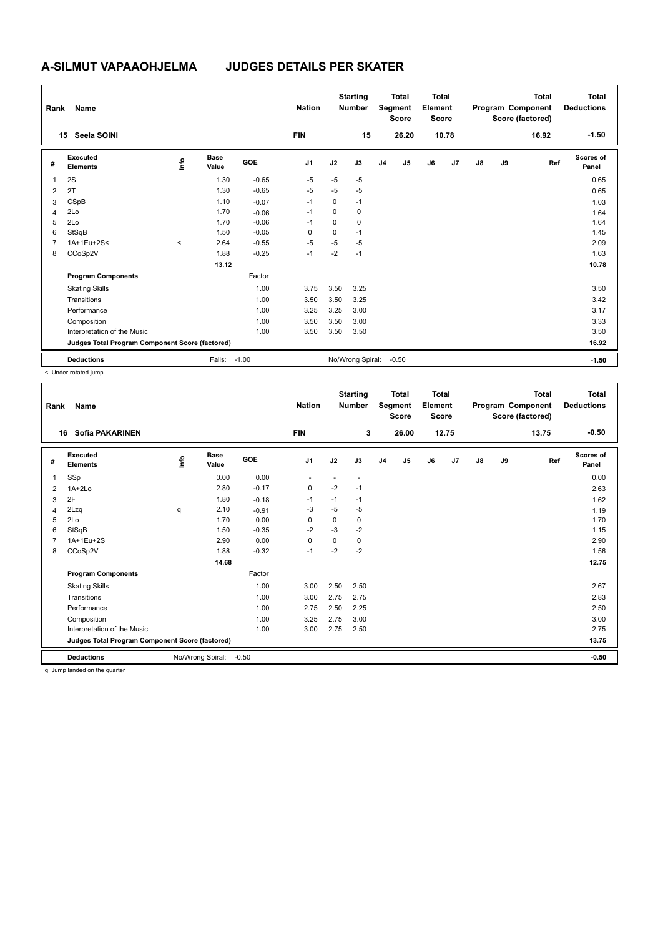| Rank           | Name                                            |           |                      |         | <b>Nation</b>  |      | <b>Starting</b><br><b>Number</b> |                | <b>Total</b><br>Segment<br><b>Score</b> | Total<br>Element<br><b>Score</b> |       |    |    | <b>Total</b><br>Program Component<br>Score (factored) | <b>Total</b><br><b>Deductions</b> |
|----------------|-------------------------------------------------|-----------|----------------------|---------|----------------|------|----------------------------------|----------------|-----------------------------------------|----------------------------------|-------|----|----|-------------------------------------------------------|-----------------------------------|
|                | Seela SOINI<br>15                               |           |                      |         | <b>FIN</b>     |      | 15                               |                | 26.20                                   |                                  | 10.78 |    |    | 16.92                                                 | $-1.50$                           |
| #              | Executed<br><b>Elements</b>                     | ١mfo      | <b>Base</b><br>Value | GOE     | J <sub>1</sub> | J2   | J3                               | J <sub>4</sub> | J <sub>5</sub>                          | J6                               | J7    | J8 | J9 | Ref                                                   | Scores of<br>Panel                |
| 1              | 2S                                              |           | 1.30                 | $-0.65$ | $-5$           | $-5$ | $-5$                             |                |                                         |                                  |       |    |    |                                                       | 0.65                              |
| 2              | 2T                                              |           | 1.30                 | $-0.65$ | $-5$           | $-5$ | $-5$                             |                |                                         |                                  |       |    |    |                                                       | 0.65                              |
| 3              | CSpB                                            |           | 1.10                 | $-0.07$ | $-1$           | 0    | $-1$                             |                |                                         |                                  |       |    |    |                                                       | 1.03                              |
| 4              | 2Lo                                             |           | 1.70                 | $-0.06$ | $-1$           | 0    | 0                                |                |                                         |                                  |       |    |    |                                                       | 1.64                              |
| 5              | 2Lo                                             |           | 1.70                 | $-0.06$ | $-1$           | 0    | 0                                |                |                                         |                                  |       |    |    |                                                       | 1.64                              |
| 6              | StSqB                                           |           | 1.50                 | $-0.05$ | $\Omega$       | 0    | $-1$                             |                |                                         |                                  |       |    |    |                                                       | 1.45                              |
| $\overline{7}$ | 1A+1Eu+2S<                                      | $\hat{~}$ | 2.64                 | $-0.55$ | $-5$           | $-5$ | $-5$                             |                |                                         |                                  |       |    |    |                                                       | 2.09                              |
| 8              | CCoSp2V                                         |           | 1.88                 | $-0.25$ | $-1$           | $-2$ | $-1$                             |                |                                         |                                  |       |    |    |                                                       | 1.63                              |
|                |                                                 |           | 13.12                |         |                |      |                                  |                |                                         |                                  |       |    |    |                                                       | 10.78                             |
|                | <b>Program Components</b>                       |           |                      | Factor  |                |      |                                  |                |                                         |                                  |       |    |    |                                                       |                                   |
|                | <b>Skating Skills</b>                           |           |                      | 1.00    | 3.75           | 3.50 | 3.25                             |                |                                         |                                  |       |    |    |                                                       | 3.50                              |
|                | Transitions                                     |           |                      | 1.00    | 3.50           | 3.50 | 3.25                             |                |                                         |                                  |       |    |    |                                                       | 3.42                              |
|                | Performance                                     |           |                      | 1.00    | 3.25           | 3.25 | 3.00                             |                |                                         |                                  |       |    |    |                                                       | 3.17                              |
|                | Composition                                     |           |                      | 1.00    | 3.50           | 3.50 | 3.00                             |                |                                         |                                  |       |    |    |                                                       | 3.33                              |
|                | Interpretation of the Music                     |           |                      | 1.00    | 3.50           | 3.50 | 3.50                             |                |                                         |                                  |       |    |    |                                                       | 3.50                              |
|                | Judges Total Program Component Score (factored) |           |                      |         |                |      |                                  |                |                                         |                                  |       |    |    |                                                       | 16.92                             |
|                | <b>Deductions</b>                               |           | Falls: -1.00         |         |                |      | No/Wrong Spiral:                 |                | $-0.50$                                 |                                  |       |    |    |                                                       | $-1.50$                           |

< Under-rotated jump

| Rank | Name                                            |      |                      |         | <b>Nation</b>  |      | <b>Starting</b><br><b>Number</b> |                | <b>Total</b><br>Segment<br><b>Score</b> | <b>Total</b><br>Element<br><b>Score</b> |       |               |    | <b>Total</b><br>Program Component<br>Score (factored) | <b>Total</b><br><b>Deductions</b> |
|------|-------------------------------------------------|------|----------------------|---------|----------------|------|----------------------------------|----------------|-----------------------------------------|-----------------------------------------|-------|---------------|----|-------------------------------------------------------|-----------------------------------|
| 16   | <b>Sofia PAKARINEN</b>                          |      |                      |         | <b>FIN</b>     |      | 3                                |                | 26.00                                   |                                         | 12.75 |               |    | 13.75                                                 | $-0.50$                           |
| #    | Executed<br><b>Elements</b>                     | ۱nfo | <b>Base</b><br>Value | GOE     | J <sub>1</sub> | J2   | J3                               | J <sub>4</sub> | J5                                      | J6                                      | J7    | $\mathsf{J}8$ | J9 | Ref                                                   | <b>Scores of</b><br>Panel         |
| 1    | SSp                                             |      | 0.00                 | 0.00    |                |      | $\overline{\phantom{a}}$         |                |                                         |                                         |       |               |    |                                                       | 0.00                              |
| 2    | $1A+2Lo$                                        |      | 2.80                 | $-0.17$ | 0              | $-2$ | $-1$                             |                |                                         |                                         |       |               |    |                                                       | 2.63                              |
| 3    | 2F                                              |      | 1.80                 | $-0.18$ | $-1$           | $-1$ | $-1$                             |                |                                         |                                         |       |               |    |                                                       | 1.62                              |
| 4    | 2Lzq                                            | q    | 2.10                 | $-0.91$ | -3             | $-5$ | $-5$                             |                |                                         |                                         |       |               |    |                                                       | 1.19                              |
| 5    | 2Lo                                             |      | 1.70                 | 0.00    | 0              | 0    | 0                                |                |                                         |                                         |       |               |    |                                                       | 1.70                              |
| 6    | StSqB                                           |      | 1.50                 | $-0.35$ | $-2$           | $-3$ | $-2$                             |                |                                         |                                         |       |               |    |                                                       | 1.15                              |
|      | 1A+1Eu+2S                                       |      | 2.90                 | 0.00    | 0              | 0    | 0                                |                |                                         |                                         |       |               |    |                                                       | 2.90                              |
| 8    | CCoSp2V                                         |      | 1.88                 | $-0.32$ | $-1$           | $-2$ | $-2$                             |                |                                         |                                         |       |               |    |                                                       | 1.56                              |
|      |                                                 |      | 14.68                |         |                |      |                                  |                |                                         |                                         |       |               |    |                                                       | 12.75                             |
|      | <b>Program Components</b>                       |      |                      | Factor  |                |      |                                  |                |                                         |                                         |       |               |    |                                                       |                                   |
|      | <b>Skating Skills</b>                           |      |                      | 1.00    | 3.00           | 2.50 | 2.50                             |                |                                         |                                         |       |               |    |                                                       | 2.67                              |
|      | Transitions                                     |      |                      | 1.00    | 3.00           | 2.75 | 2.75                             |                |                                         |                                         |       |               |    |                                                       | 2.83                              |
|      | Performance                                     |      |                      | 1.00    | 2.75           | 2.50 | 2.25                             |                |                                         |                                         |       |               |    |                                                       | 2.50                              |
|      | Composition                                     |      |                      | 1.00    | 3.25           | 2.75 | 3.00                             |                |                                         |                                         |       |               |    |                                                       | 3.00                              |
|      | Interpretation of the Music                     |      |                      | 1.00    | 3.00           | 2.75 | 2.50                             |                |                                         |                                         |       |               |    |                                                       | 2.75                              |
|      | Judges Total Program Component Score (factored) |      |                      |         |                |      |                                  |                |                                         |                                         |       |               |    |                                                       | 13.75                             |
|      | <b>Deductions</b>                               |      | No/Wrong Spiral:     | $-0.50$ |                |      |                                  |                |                                         |                                         |       |               |    |                                                       | $-0.50$                           |
|      | a lumn landed on the quarter                    |      |                      |         |                |      |                                  |                |                                         |                                         |       |               |    |                                                       |                                   |

q Jump landed on the quarter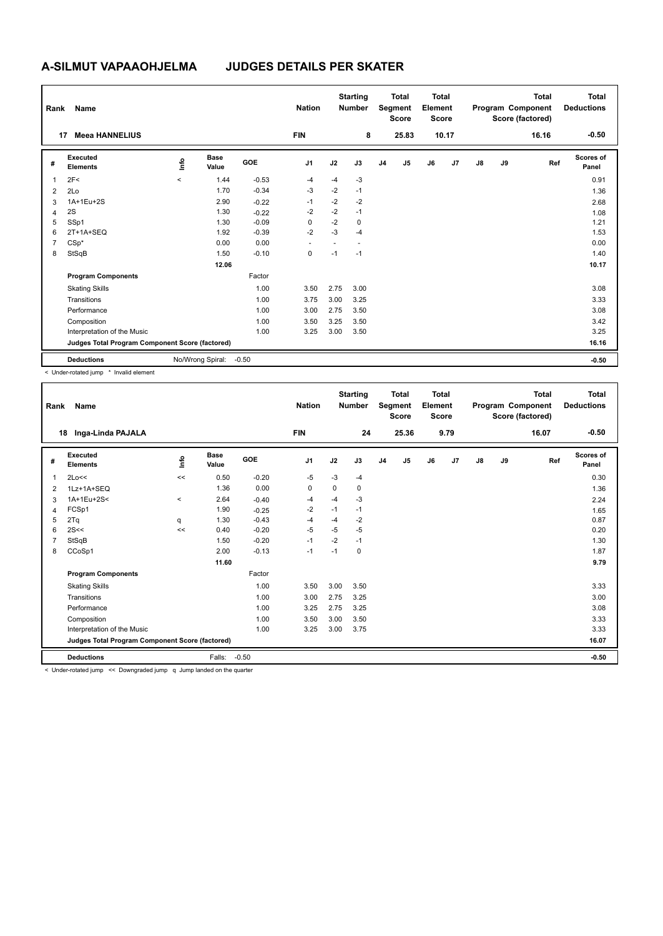| Rank           | Name                                            |         |                      |            | <b>Nation</b> |      | <b>Starting</b><br><b>Number</b> |                | <b>Total</b><br>Segment<br><b>Score</b> | Total<br>Element<br><b>Score</b> |       |    |    | <b>Total</b><br>Program Component<br>Score (factored) | <b>Total</b><br><b>Deductions</b> |
|----------------|-------------------------------------------------|---------|----------------------|------------|---------------|------|----------------------------------|----------------|-----------------------------------------|----------------------------------|-------|----|----|-------------------------------------------------------|-----------------------------------|
|                | <b>Meea HANNELIUS</b><br>17                     |         |                      |            | <b>FIN</b>    |      | 8                                |                | 25.83                                   |                                  | 10.17 |    |    | 16.16                                                 | $-0.50$                           |
| #              | Executed<br><b>Elements</b>                     | lnfo    | <b>Base</b><br>Value | <b>GOE</b> | J1            | J2   | J3                               | J <sub>4</sub> | J5                                      | J6                               | J7    | J8 | J9 | Ref                                                   | Scores of<br>Panel                |
| 1              | 2F<                                             | $\prec$ | 1.44                 | $-0.53$    | $-4$          | $-4$ | $-3$                             |                |                                         |                                  |       |    |    |                                                       | 0.91                              |
| 2              | 2Lo                                             |         | 1.70                 | $-0.34$    | $-3$          | $-2$ | $-1$                             |                |                                         |                                  |       |    |    |                                                       | 1.36                              |
| 3              | 1A+1Eu+2S                                       |         | 2.90                 | $-0.22$    | $-1$          | $-2$ | $-2$                             |                |                                         |                                  |       |    |    |                                                       | 2.68                              |
| 4              | 2S                                              |         | 1.30                 | $-0.22$    | $-2$          | $-2$ | $-1$                             |                |                                         |                                  |       |    |    |                                                       | 1.08                              |
| 5              | SSp1                                            |         | 1.30                 | $-0.09$    | 0             | $-2$ | $\mathbf 0$                      |                |                                         |                                  |       |    |    |                                                       | 1.21                              |
| 6              | $2T+1A+SEQ$                                     |         | 1.92                 | $-0.39$    | $-2$          | $-3$ | $-4$                             |                |                                         |                                  |       |    |    |                                                       | 1.53                              |
| $\overline{7}$ | $CSp^*$                                         |         | 0.00                 | 0.00       |               |      | ÷                                |                |                                         |                                  |       |    |    |                                                       | 0.00                              |
| 8              | StSqB                                           |         | 1.50                 | $-0.10$    | 0             | $-1$ | $-1$                             |                |                                         |                                  |       |    |    |                                                       | 1.40                              |
|                |                                                 |         | 12.06                |            |               |      |                                  |                |                                         |                                  |       |    |    |                                                       | 10.17                             |
|                | <b>Program Components</b>                       |         |                      | Factor     |               |      |                                  |                |                                         |                                  |       |    |    |                                                       |                                   |
|                | <b>Skating Skills</b>                           |         |                      | 1.00       | 3.50          | 2.75 | 3.00                             |                |                                         |                                  |       |    |    |                                                       | 3.08                              |
|                | Transitions                                     |         |                      | 1.00       | 3.75          | 3.00 | 3.25                             |                |                                         |                                  |       |    |    |                                                       | 3.33                              |
|                | Performance                                     |         |                      | 1.00       | 3.00          | 2.75 | 3.50                             |                |                                         |                                  |       |    |    |                                                       | 3.08                              |
|                | Composition                                     |         |                      | 1.00       | 3.50          | 3.25 | 3.50                             |                |                                         |                                  |       |    |    |                                                       | 3.42                              |
|                | Interpretation of the Music                     |         |                      | 1.00       | 3.25          | 3.00 | 3.50                             |                |                                         |                                  |       |    |    |                                                       | 3.25                              |
|                | Judges Total Program Component Score (factored) |         |                      |            |               |      |                                  |                |                                         |                                  |       |    |    |                                                       | 16.16                             |
|                | <b>Deductions</b>                               |         | No/Wrong Spiral:     | $-0.50$    |               |      |                                  |                |                                         |                                  |       |    |    |                                                       | $-0.50$                           |

< Under-rotated jump \* Invalid element

| Rank           | Name                                                                 |             |                      |         | <b>Nation</b> |      | <b>Starting</b><br><b>Number</b> |                | <b>Total</b><br>Segment<br><b>Score</b> | <b>Total</b><br>Element<br><b>Score</b> |      |               |    | <b>Total</b><br>Program Component<br>Score (factored) | Total<br><b>Deductions</b> |
|----------------|----------------------------------------------------------------------|-------------|----------------------|---------|---------------|------|----------------------------------|----------------|-----------------------------------------|-----------------------------------------|------|---------------|----|-------------------------------------------------------|----------------------------|
|                | Inga-Linda PAJALA<br>18                                              |             |                      |         | <b>FIN</b>    |      | 24                               |                | 25.36                                   |                                         | 9.79 |               |    | 16.07                                                 | $-0.50$                    |
| #              | Executed<br><b>Elements</b>                                          | <u>info</u> | <b>Base</b><br>Value | GOE     | J1            | J2   | J3                               | J <sub>4</sub> | J5                                      | J6                                      | J7   | $\mathsf{J}8$ | J9 | Ref                                                   | Scores of<br>Panel         |
| $\mathbf{1}$   | 2Lo<<                                                                | <<          | 0.50                 | $-0.20$ | $-5$          | $-3$ | $-4$                             |                |                                         |                                         |      |               |    |                                                       | 0.30                       |
| 2              | 1Lz+1A+SEQ                                                           |             | 1.36                 | 0.00    | 0             | 0    | 0                                |                |                                         |                                         |      |               |    |                                                       | 1.36                       |
| 3              | 1A+1Eu+2S<                                                           | $\,<\,$     | 2.64                 | $-0.40$ | $-4$          | $-4$ | $-3$                             |                |                                         |                                         |      |               |    |                                                       | 2.24                       |
| $\overline{4}$ | FCSp1                                                                |             | 1.90                 | $-0.25$ | -2            | $-1$ | $-1$                             |                |                                         |                                         |      |               |    |                                                       | 1.65                       |
| 5              | 2Tq                                                                  | q           | 1.30                 | $-0.43$ | -4            | $-4$ | $-2$                             |                |                                         |                                         |      |               |    |                                                       | 0.87                       |
| 6              | 2S<<                                                                 | <<          | 0.40                 | $-0.20$ | $-5$          | $-5$ | $-5$                             |                |                                         |                                         |      |               |    |                                                       | 0.20                       |
| 7              | StSqB                                                                |             | 1.50                 | $-0.20$ | $-1$          | $-2$ | $-1$                             |                |                                         |                                         |      |               |    |                                                       | 1.30                       |
| 8              | CCoSp1                                                               |             | 2.00                 | $-0.13$ | $-1$          | $-1$ | 0                                |                |                                         |                                         |      |               |    |                                                       | 1.87                       |
|                |                                                                      |             | 11.60                |         |               |      |                                  |                |                                         |                                         |      |               |    |                                                       | 9.79                       |
|                | <b>Program Components</b>                                            |             |                      | Factor  |               |      |                                  |                |                                         |                                         |      |               |    |                                                       |                            |
|                | <b>Skating Skills</b>                                                |             |                      | 1.00    | 3.50          | 3.00 | 3.50                             |                |                                         |                                         |      |               |    |                                                       | 3.33                       |
|                | Transitions                                                          |             |                      | 1.00    | 3.00          | 2.75 | 3.25                             |                |                                         |                                         |      |               |    |                                                       | 3.00                       |
|                | Performance                                                          |             |                      | 1.00    | 3.25          | 2.75 | 3.25                             |                |                                         |                                         |      |               |    |                                                       | 3.08                       |
|                | Composition                                                          |             |                      | 1.00    | 3.50          | 3.00 | 3.50                             |                |                                         |                                         |      |               |    |                                                       | 3.33                       |
|                | Interpretation of the Music                                          |             |                      | 1.00    | 3.25          | 3.00 | 3.75                             |                |                                         |                                         |      |               |    |                                                       | 3.33                       |
|                | Judges Total Program Component Score (factored)                      |             |                      |         |               |      |                                  |                |                                         |                                         |      |               |    |                                                       | 16.07                      |
|                | <b>Deductions</b>                                                    |             | Falls:               | $-0.50$ |               |      |                                  |                |                                         |                                         |      |               |    |                                                       | $-0.50$                    |
|                | < Under-rotated jumn << Downgraded jumn a lumn landed on the quarter |             |                      |         |               |      |                                  |                |                                         |                                         |      |               |    |                                                       |                            |

Under-rotated jump  $\prec$  Downgraded jump q Jump landed on the qua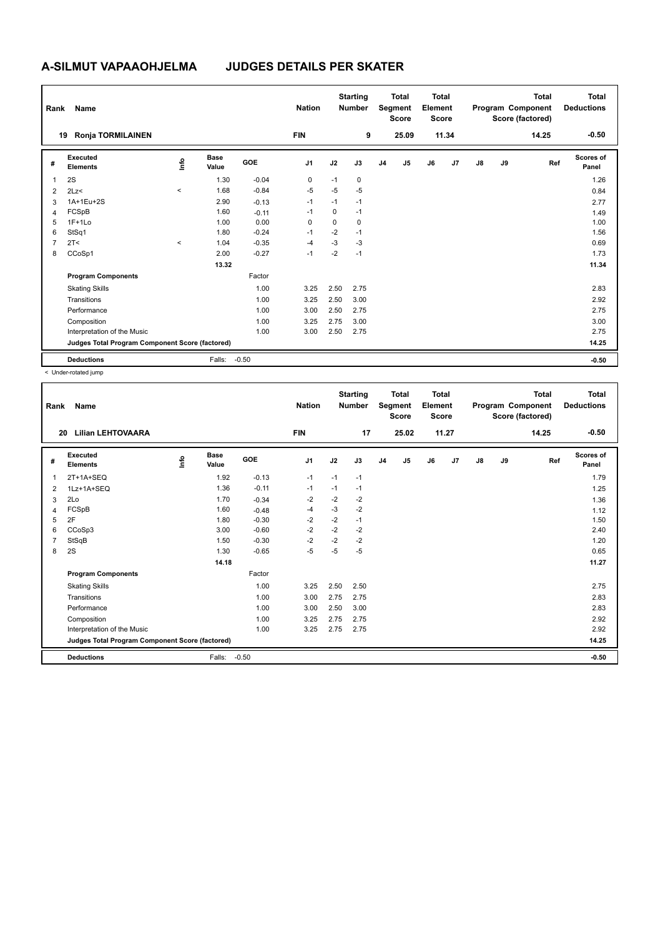| Rank           | Name                                            |           |                      |            | <b>Nation</b>  |      | <b>Starting</b><br><b>Number</b> |                | <b>Total</b><br>Segment<br><b>Score</b> | Total<br>Element<br><b>Score</b> |       |               |    | <b>Total</b><br>Program Component<br>Score (factored) | Total<br><b>Deductions</b> |
|----------------|-------------------------------------------------|-----------|----------------------|------------|----------------|------|----------------------------------|----------------|-----------------------------------------|----------------------------------|-------|---------------|----|-------------------------------------------------------|----------------------------|
|                | <b>Ronja TORMILAINEN</b><br>19                  |           |                      |            | <b>FIN</b>     |      | 9                                |                | 25.09                                   |                                  | 11.34 |               |    | 14.25                                                 | $-0.50$                    |
| #              | Executed<br><b>Elements</b>                     | ١m        | <b>Base</b><br>Value | <b>GOE</b> | J <sub>1</sub> | J2   | J3                               | J <sub>4</sub> | J5                                      | J6                               | J7    | $\mathsf{J}8$ | J9 | Ref                                                   | <b>Scores of</b><br>Panel  |
| 1              | 2S                                              |           | 1.30                 | $-0.04$    | 0              | $-1$ | $\mathbf 0$                      |                |                                         |                                  |       |               |    |                                                       | 1.26                       |
| $\overline{2}$ | 2Lz                                             | $\hat{~}$ | 1.68                 | $-0.84$    | $-5$           | $-5$ | $-5$                             |                |                                         |                                  |       |               |    |                                                       | 0.84                       |
| 3              | 1A+1Eu+2S                                       |           | 2.90                 | $-0.13$    | $-1$           | $-1$ | $-1$                             |                |                                         |                                  |       |               |    |                                                       | 2.77                       |
| $\overline{4}$ | FCSpB                                           |           | 1.60                 | $-0.11$    | $-1$           | 0    | $-1$                             |                |                                         |                                  |       |               |    |                                                       | 1.49                       |
| 5              | $1F+1Lo$                                        |           | 1.00                 | 0.00       | 0              | 0    | 0                                |                |                                         |                                  |       |               |    |                                                       | 1.00                       |
| 6              | StSq1                                           |           | 1.80                 | $-0.24$    | $-1$           | $-2$ | $-1$                             |                |                                         |                                  |       |               |    |                                                       | 1.56                       |
| 7              | 2T <                                            | $\hat{~}$ | 1.04                 | $-0.35$    | $-4$           | $-3$ | $-3$                             |                |                                         |                                  |       |               |    |                                                       | 0.69                       |
| 8              | CCoSp1                                          |           | 2.00                 | $-0.27$    | $-1$           | $-2$ | $-1$                             |                |                                         |                                  |       |               |    |                                                       | 1.73                       |
|                |                                                 |           | 13.32                |            |                |      |                                  |                |                                         |                                  |       |               |    |                                                       | 11.34                      |
|                | <b>Program Components</b>                       |           |                      | Factor     |                |      |                                  |                |                                         |                                  |       |               |    |                                                       |                            |
|                | <b>Skating Skills</b>                           |           |                      | 1.00       | 3.25           | 2.50 | 2.75                             |                |                                         |                                  |       |               |    |                                                       | 2.83                       |
|                | Transitions                                     |           |                      | 1.00       | 3.25           | 2.50 | 3.00                             |                |                                         |                                  |       |               |    |                                                       | 2.92                       |
|                | Performance                                     |           |                      | 1.00       | 3.00           | 2.50 | 2.75                             |                |                                         |                                  |       |               |    |                                                       | 2.75                       |
|                | Composition                                     |           |                      | 1.00       | 3.25           | 2.75 | 3.00                             |                |                                         |                                  |       |               |    |                                                       | 3.00                       |
|                | Interpretation of the Music                     |           |                      | 1.00       | 3.00           | 2.50 | 2.75                             |                |                                         |                                  |       |               |    |                                                       | 2.75                       |
|                | Judges Total Program Component Score (factored) |           |                      |            |                |      |                                  |                |                                         |                                  |       |               |    |                                                       | 14.25                      |
|                | <b>Deductions</b>                               |           | Falls:               | $-0.50$    |                |      |                                  |                |                                         |                                  |       |               |    |                                                       | $-0.50$                    |

< Under-rotated jump

| Rank | Name                                            |      |                      |         | <b>Nation</b>  |      | <b>Starting</b><br><b>Number</b> |                | <b>Total</b><br>Segment<br><b>Score</b> | Total<br>Element<br><b>Score</b> |       |               |    | <b>Total</b><br>Program Component<br>Score (factored) | <b>Total</b><br><b>Deductions</b> |
|------|-------------------------------------------------|------|----------------------|---------|----------------|------|----------------------------------|----------------|-----------------------------------------|----------------------------------|-------|---------------|----|-------------------------------------------------------|-----------------------------------|
| 20   | <b>Lilian LEHTOVAARA</b>                        |      |                      |         | <b>FIN</b>     |      | 17                               |                | 25.02                                   |                                  | 11.27 |               |    | 14.25                                                 | $-0.50$                           |
| #    | Executed<br><b>Elements</b>                     | ١ifo | <b>Base</b><br>Value | GOE     | J <sub>1</sub> | J2   | J3                               | J <sub>4</sub> | J5                                      | J6                               | J7    | $\mathsf{J}8$ | J9 | Ref                                                   | <b>Scores of</b><br>Panel         |
| 1    | $2T+1A+SEQ$                                     |      | 1.92                 | $-0.13$ | $-1$           | $-1$ | $-1$                             |                |                                         |                                  |       |               |    |                                                       | 1.79                              |
| 2    | 1Lz+1A+SEQ                                      |      | 1.36                 | $-0.11$ | $-1$           | $-1$ | $-1$                             |                |                                         |                                  |       |               |    |                                                       | 1.25                              |
| 3    | 2Lo                                             |      | 1.70                 | $-0.34$ | $-2$           | $-2$ | $-2$                             |                |                                         |                                  |       |               |    |                                                       | 1.36                              |
| 4    | FCSpB                                           |      | 1.60                 | $-0.48$ | -4             | $-3$ | $-2$                             |                |                                         |                                  |       |               |    |                                                       | 1.12                              |
| 5    | 2F                                              |      | 1.80                 | $-0.30$ | -2             | $-2$ | $-1$                             |                |                                         |                                  |       |               |    |                                                       | 1.50                              |
| 6    | CCoSp3                                          |      | 3.00                 | $-0.60$ | $-2$           | $-2$ | $-2$                             |                |                                         |                                  |       |               |    |                                                       | 2.40                              |
| 7    | StSqB                                           |      | 1.50                 | $-0.30$ | $-2$           | $-2$ | $-2$                             |                |                                         |                                  |       |               |    |                                                       | 1.20                              |
| 8    | 2S                                              |      | 1.30                 | $-0.65$ | $-5$           | $-5$ | $-5$                             |                |                                         |                                  |       |               |    |                                                       | 0.65                              |
|      |                                                 |      | 14.18                |         |                |      |                                  |                |                                         |                                  |       |               |    |                                                       | 11.27                             |
|      | <b>Program Components</b>                       |      |                      | Factor  |                |      |                                  |                |                                         |                                  |       |               |    |                                                       |                                   |
|      | <b>Skating Skills</b>                           |      |                      | 1.00    | 3.25           | 2.50 | 2.50                             |                |                                         |                                  |       |               |    |                                                       | 2.75                              |
|      | Transitions                                     |      |                      | 1.00    | 3.00           | 2.75 | 2.75                             |                |                                         |                                  |       |               |    |                                                       | 2.83                              |
|      | Performance                                     |      |                      | 1.00    | 3.00           | 2.50 | 3.00                             |                |                                         |                                  |       |               |    |                                                       | 2.83                              |
|      | Composition                                     |      |                      | 1.00    | 3.25           | 2.75 | 2.75                             |                |                                         |                                  |       |               |    |                                                       | 2.92                              |
|      | Interpretation of the Music                     |      |                      | 1.00    | 3.25           | 2.75 | 2.75                             |                |                                         |                                  |       |               |    |                                                       | 2.92                              |
|      | Judges Total Program Component Score (factored) |      |                      |         |                |      |                                  |                |                                         |                                  |       |               |    |                                                       | 14.25                             |
|      | <b>Deductions</b>                               |      | Falls:               | $-0.50$ |                |      |                                  |                |                                         |                                  |       |               |    |                                                       | $-0.50$                           |
|      |                                                 |      |                      |         |                |      |                                  |                |                                         |                                  |       |               |    |                                                       |                                   |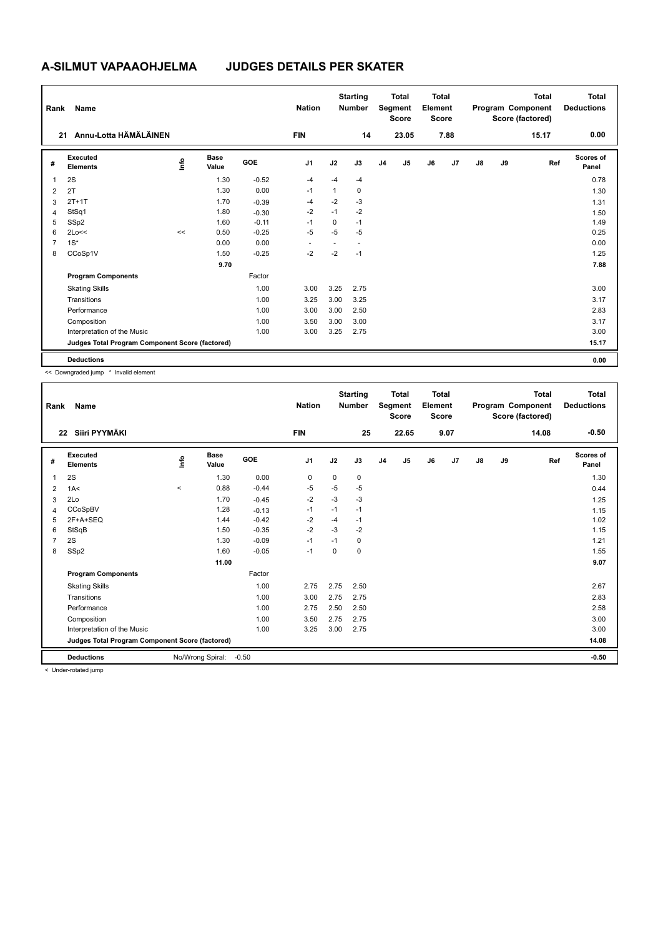| Rank           | Name                                            |      |                      |            | <b>Nation</b>  |          | <b>Starting</b><br><b>Number</b> |                | <b>Total</b><br>Segment<br><b>Score</b> | <b>Total</b><br>Element<br><b>Score</b> |      |    |    | <b>Total</b><br>Program Component<br>Score (factored) | Total<br><b>Deductions</b> |
|----------------|-------------------------------------------------|------|----------------------|------------|----------------|----------|----------------------------------|----------------|-----------------------------------------|-----------------------------------------|------|----|----|-------------------------------------------------------|----------------------------|
|                | Annu-Lotta HÄMÄLÄINEN<br>21                     |      |                      |            | <b>FIN</b>     |          | 14                               |                | 23.05                                   |                                         | 7.88 |    |    | 15.17                                                 | 0.00                       |
| #              | Executed<br><b>Elements</b>                     | lnfo | <b>Base</b><br>Value | <b>GOE</b> | J <sub>1</sub> | J2       | J3                               | J <sub>4</sub> | J5                                      | J6                                      | J7   | J8 | J9 | Ref                                                   | Scores of<br>Panel         |
| 1              | 2S                                              |      | 1.30                 | $-0.52$    | $-4$           | $-4$     | $-4$                             |                |                                         |                                         |      |    |    |                                                       | 0.78                       |
| 2              | 2T                                              |      | 1.30                 | 0.00       | $-1$           | 1        | 0                                |                |                                         |                                         |      |    |    |                                                       | 1.30                       |
| 3              | $2T+1T$                                         |      | 1.70                 | $-0.39$    | $-4$           | $-2$     | $-3$                             |                |                                         |                                         |      |    |    |                                                       | 1.31                       |
| 4              | StSq1                                           |      | 1.80                 | $-0.30$    | $-2$           | $-1$     | $-2$                             |                |                                         |                                         |      |    |    |                                                       | 1.50                       |
| 5              | SSp2                                            |      | 1.60                 | $-0.11$    | $-1$           | $\Omega$ | $-1$                             |                |                                         |                                         |      |    |    |                                                       | 1.49                       |
| 6              | 2Lo<<                                           | <<   | 0.50                 | $-0.25$    | $-5$           | $-5$     | -5                               |                |                                         |                                         |      |    |    |                                                       | 0.25                       |
| $\overline{7}$ | $1S^*$                                          |      | 0.00                 | 0.00       |                |          |                                  |                |                                         |                                         |      |    |    |                                                       | 0.00                       |
| 8              | CCoSp1V                                         |      | 1.50                 | $-0.25$    | $-2$           | $-2$     | $-1$                             |                |                                         |                                         |      |    |    |                                                       | 1.25                       |
|                |                                                 |      | 9.70                 |            |                |          |                                  |                |                                         |                                         |      |    |    |                                                       | 7.88                       |
|                | <b>Program Components</b>                       |      |                      | Factor     |                |          |                                  |                |                                         |                                         |      |    |    |                                                       |                            |
|                | <b>Skating Skills</b>                           |      |                      | 1.00       | 3.00           | 3.25     | 2.75                             |                |                                         |                                         |      |    |    |                                                       | 3.00                       |
|                | Transitions                                     |      |                      | 1.00       | 3.25           | 3.00     | 3.25                             |                |                                         |                                         |      |    |    |                                                       | 3.17                       |
|                | Performance                                     |      |                      | 1.00       | 3.00           | 3.00     | 2.50                             |                |                                         |                                         |      |    |    |                                                       | 2.83                       |
|                | Composition                                     |      |                      | 1.00       | 3.50           | 3.00     | 3.00                             |                |                                         |                                         |      |    |    |                                                       | 3.17                       |
|                | Interpretation of the Music                     |      |                      | 1.00       | 3.00           | 3.25     | 2.75                             |                |                                         |                                         |      |    |    |                                                       | 3.00                       |
|                | Judges Total Program Component Score (factored) |      |                      |            |                |          |                                  |                |                                         |                                         |      |    |    |                                                       | 15.17                      |
|                | <b>Deductions</b>                               |      |                      |            |                |          |                                  |                |                                         |                                         |      |    |    |                                                       | 0.00                       |

<< Downgraded jump \* Invalid element

| Rank           | Name                                            |       |                      |            | <b>Nation</b>  |      | <b>Starting</b><br><b>Number</b> |                | <b>Total</b><br>Segment<br><b>Score</b> | <b>Total</b><br>Element<br><b>Score</b> |      |               |    | <b>Total</b><br>Program Component<br>Score (factored) | <b>Total</b><br><b>Deductions</b> |
|----------------|-------------------------------------------------|-------|----------------------|------------|----------------|------|----------------------------------|----------------|-----------------------------------------|-----------------------------------------|------|---------------|----|-------------------------------------------------------|-----------------------------------|
| 22             | Siiri PYYMÄKI                                   |       |                      |            | <b>FIN</b>     |      | 25                               |                | 22.65                                   |                                         | 9.07 |               |    | 14.08                                                 | $-0.50$                           |
| #              | Executed<br><b>Elements</b>                     | info  | <b>Base</b><br>Value | <b>GOE</b> | J <sub>1</sub> | J2   | J3                               | J <sub>4</sub> | J5                                      | J6                                      | J7   | $\mathsf{J}8$ | J9 | Ref                                                   | Scores of<br>Panel                |
| 1              | 2S                                              |       | 1.30                 | 0.00       | 0              | 0    | 0                                |                |                                         |                                         |      |               |    |                                                       | 1.30                              |
| 2              | 1A<                                             | $\,<$ | 0.88                 | $-0.44$    | -5             | $-5$ | -5                               |                |                                         |                                         |      |               |    |                                                       | 0.44                              |
| 3              | 2Lo                                             |       | 1.70                 | $-0.45$    | $-2$           | $-3$ | $-3$                             |                |                                         |                                         |      |               |    |                                                       | 1.25                              |
| 4              | CCoSpBV                                         |       | 1.28                 | $-0.13$    | $-1$           | $-1$ | $-1$                             |                |                                         |                                         |      |               |    |                                                       | 1.15                              |
| 5              | 2F+A+SEQ                                        |       | 1.44                 | $-0.42$    | $-2$           | $-4$ | $-1$                             |                |                                         |                                         |      |               |    |                                                       | 1.02                              |
| 6              | StSqB                                           |       | 1.50                 | $-0.35$    | $-2$           | $-3$ | $-2$                             |                |                                         |                                         |      |               |    |                                                       | 1.15                              |
| $\overline{7}$ | 2S                                              |       | 1.30                 | $-0.09$    | $-1$           | $-1$ | 0                                |                |                                         |                                         |      |               |    |                                                       | 1.21                              |
| 8              | SSp2                                            |       | 1.60                 | $-0.05$    | $-1$           | 0    | 0                                |                |                                         |                                         |      |               |    |                                                       | 1.55                              |
|                |                                                 |       | 11.00                |            |                |      |                                  |                |                                         |                                         |      |               |    |                                                       | 9.07                              |
|                | <b>Program Components</b>                       |       |                      | Factor     |                |      |                                  |                |                                         |                                         |      |               |    |                                                       |                                   |
|                | <b>Skating Skills</b>                           |       |                      | 1.00       | 2.75           | 2.75 | 2.50                             |                |                                         |                                         |      |               |    |                                                       | 2.67                              |
|                | Transitions                                     |       |                      | 1.00       | 3.00           | 2.75 | 2.75                             |                |                                         |                                         |      |               |    |                                                       | 2.83                              |
|                | Performance                                     |       |                      | 1.00       | 2.75           | 2.50 | 2.50                             |                |                                         |                                         |      |               |    |                                                       | 2.58                              |
|                | Composition                                     |       |                      | 1.00       | 3.50           | 2.75 | 2.75                             |                |                                         |                                         |      |               |    |                                                       | 3.00                              |
|                | Interpretation of the Music                     |       |                      | 1.00       | 3.25           | 3.00 | 2.75                             |                |                                         |                                         |      |               |    |                                                       | 3.00                              |
|                | Judges Total Program Component Score (factored) |       |                      |            |                |      |                                  |                |                                         |                                         |      |               |    |                                                       | 14.08                             |
|                | <b>Deductions</b>                               |       | No/Wrong Spiral:     | $-0.50$    |                |      |                                  |                |                                         |                                         |      |               |    |                                                       | $-0.50$                           |
|                | $\geq$ linder retated jump.                     |       |                      |            |                |      |                                  |                |                                         |                                         |      |               |    |                                                       |                                   |

< Under-rotated jump